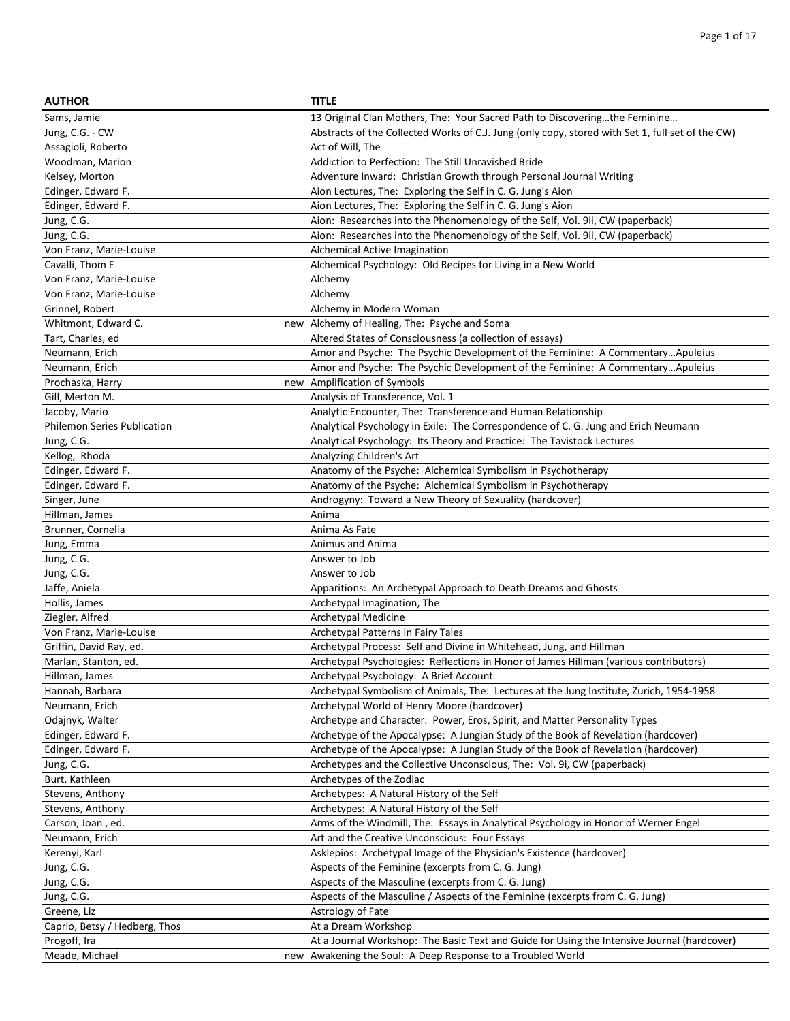| <b>AUTHOR</b>                      | <b>TITLE</b>                                                                                     |
|------------------------------------|--------------------------------------------------------------------------------------------------|
| Sams, Jamie                        | 13 Original Clan Mothers, The: Your Sacred Path to Discoveringthe Feminine                       |
| Jung, C.G. - CW                    | Abstracts of the Collected Works of C.J. Jung (only copy, stored with Set 1, full set of the CW) |
| Assagioli, Roberto                 | Act of Will, The                                                                                 |
| Woodman, Marion                    | Addiction to Perfection: The Still Unravished Bride                                              |
| Kelsey, Morton                     | Adventure Inward: Christian Growth through Personal Journal Writing                              |
| Edinger, Edward F.                 | Aion Lectures, The: Exploring the Self in C. G. Jung's Aion                                      |
| Edinger, Edward F.                 | Aion Lectures, The: Exploring the Self in C. G. Jung's Aion                                      |
| Jung, C.G.                         | Aion: Researches into the Phenomenology of the Self, Vol. 9ii, CW (paperback)                    |
| Jung, C.G.                         | Aion: Researches into the Phenomenology of the Self, Vol. 9ii, CW (paperback)                    |
| Von Franz, Marie-Louise            | Alchemical Active Imagination                                                                    |
| Cavalli, Thom F                    | Alchemical Psychology: Old Recipes for Living in a New World                                     |
| Von Franz, Marie-Louise            | Alchemy                                                                                          |
| Von Franz, Marie-Louise            | Alchemy                                                                                          |
| Grinnel, Robert                    | Alchemy in Modern Woman                                                                          |
| Whitmont, Edward C.                | new Alchemy of Healing, The: Psyche and Soma                                                     |
| Tart, Charles, ed                  | Altered States of Consciousness (a collection of essays)                                         |
| Neumann, Erich                     | Amor and Psyche: The Psychic Development of the Feminine: A CommentaryApuleius                   |
| Neumann, Erich                     | Amor and Psyche: The Psychic Development of the Feminine: A CommentaryApuleius                   |
| Prochaska, Harry                   | new Amplification of Symbols                                                                     |
| Gill, Merton M.                    | Analysis of Transference, Vol. 1                                                                 |
| Jacoby, Mario                      | Analytic Encounter, The: Transference and Human Relationship                                     |
| <b>Philemon Series Publication</b> | Analytical Psychology in Exile: The Correspondence of C. G. Jung and Erich Neumann               |
| Jung, C.G.                         | Analytical Psychology: Its Theory and Practice: The Tavistock Lectures                           |
| Kellog, Rhoda                      | Analyzing Children's Art                                                                         |
| Edinger, Edward F.                 | Anatomy of the Psyche: Alchemical Symbolism in Psychotherapy                                     |
| Edinger, Edward F.                 | Anatomy of the Psyche: Alchemical Symbolism in Psychotherapy                                     |
| Singer, June                       | Androgyny: Toward a New Theory of Sexuality (hardcover)                                          |
| Hillman, James                     | Anima                                                                                            |
| Brunner, Cornelia                  | Anima As Fate                                                                                    |
| Jung, Emma                         | Animus and Anima                                                                                 |
| Jung, C.G.                         | Answer to Job                                                                                    |
| Jung, C.G.                         | Answer to Job                                                                                    |
| Jaffe, Aniela                      | Apparitions: An Archetypal Approach to Death Dreams and Ghosts                                   |
| Hollis, James                      | Archetypal Imagination, The                                                                      |
| Ziegler, Alfred                    | Archetypal Medicine                                                                              |
| Von Franz, Marie-Louise            | Archetypal Patterns in Fairy Tales                                                               |
| Griffin, David Ray, ed.            | Archetypal Process: Self and Divine in Whitehead, Jung, and Hillman                              |
| Marlan, Stanton, ed.               | Archetypal Psychologies: Reflections in Honor of James Hillman (various contributors)            |
| Hillman, James                     | Archetypal Psychology: A Brief Account                                                           |
| Hannah, Barbara                    | Archetypal Symbolism of Animals, The: Lectures at the Jung Institute, Zurich, 1954-1958          |
| Neumann, Erich                     | Archetypal World of Henry Moore (hardcover)                                                      |
| Odajnyk, Walter                    | Archetype and Character: Power, Eros, Spirit, and Matter Personality Types                       |
| Edinger, Edward F.                 | Archetype of the Apocalypse: A Jungian Study of the Book of Revelation (hardcover)               |
| Edinger, Edward F.                 | Archetype of the Apocalypse: A Jungian Study of the Book of Revelation (hardcover)               |
| Jung, C.G.                         | Archetypes and the Collective Unconscious, The: Vol. 9i, CW (paperback)                          |
| Burt, Kathleen                     | Archetypes of the Zodiac                                                                         |
| Stevens, Anthony                   | Archetypes: A Natural History of the Self                                                        |
| Stevens, Anthony                   | Archetypes: A Natural History of the Self                                                        |
| Carson, Joan, ed.                  | Arms of the Windmill, The: Essays in Analytical Psychology in Honor of Werner Engel              |
| Neumann, Erich                     | Art and the Creative Unconscious: Four Essays                                                    |
| Kerenyi, Karl                      | Asklepios: Archetypal Image of the Physician's Existence (hardcover)                             |
| Jung, C.G.                         | Aspects of the Feminine (excerpts from C. G. Jung)                                               |
| Jung, C.G.                         | Aspects of the Masculine (excerpts from C. G. Jung)                                              |
| Jung, C.G.                         | Aspects of the Masculine / Aspects of the Feminine (excerpts from C. G. Jung)                    |
| Greene, Liz                        | Astrology of Fate                                                                                |
| Caprio, Betsy / Hedberg, Thos      | At a Dream Workshop                                                                              |
| Progoff, Ira                       | At a Journal Workshop: The Basic Text and Guide for Using the Intensive Journal (hardcover)      |
| Meade, Michael                     | new Awakening the Soul: A Deep Response to a Troubled World                                      |
|                                    |                                                                                                  |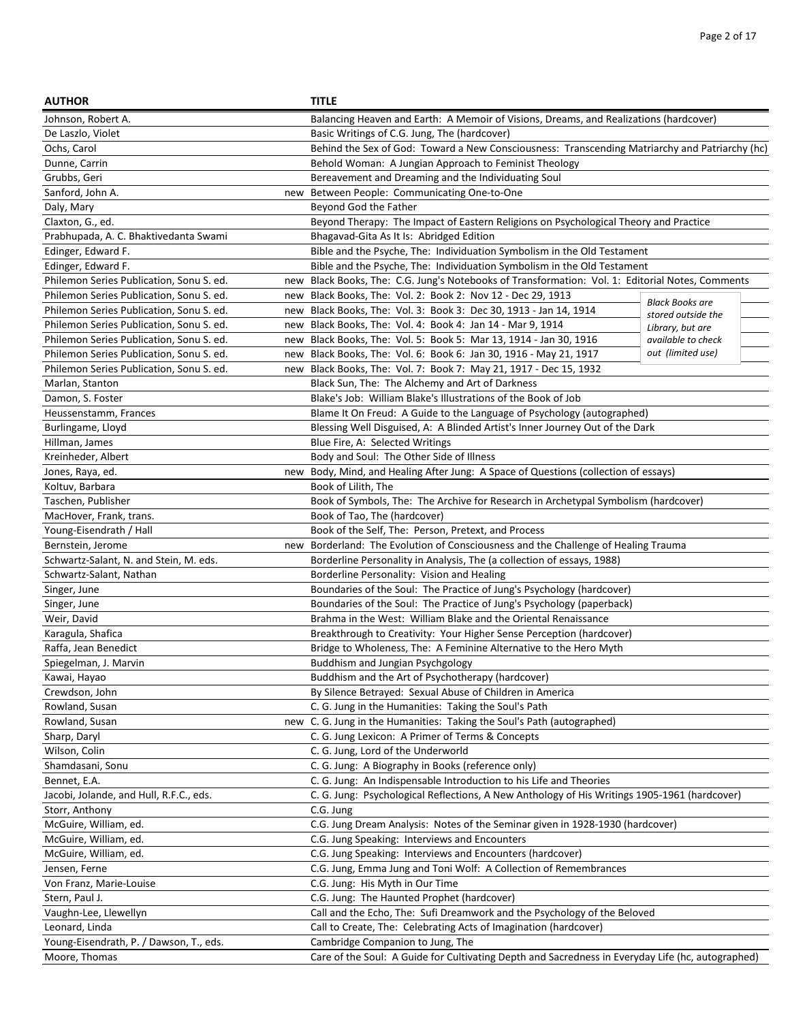| <b>AUTHOR</b>                                   | <b>TITLE</b>                                                                                      |                                              |
|-------------------------------------------------|---------------------------------------------------------------------------------------------------|----------------------------------------------|
| Johnson, Robert A.                              | Balancing Heaven and Earth: A Memoir of Visions, Dreams, and Realizations (hardcover)             |                                              |
| De Laszlo, Violet                               | Basic Writings of C.G. Jung, The (hardcover)                                                      |                                              |
| Ochs, Carol                                     | Behind the Sex of God: Toward a New Consciousness: Transcending Matriarchy and Patriarchy (hc)    |                                              |
| Dunne, Carrin                                   | Behold Woman: A Jungian Approach to Feminist Theology                                             |                                              |
| Grubbs, Geri                                    | Bereavement and Dreaming and the Individuating Soul                                               |                                              |
| Sanford, John A.<br>new                         | Between People: Communicating One-to-One                                                          |                                              |
| Daly, Mary                                      | Beyond God the Father                                                                             |                                              |
| Claxton, G., ed.                                | Beyond Therapy: The Impact of Eastern Religions on Psychological Theory and Practice              |                                              |
| Prabhupada, A. C. Bhaktivedanta Swami           | Bhagavad-Gita As It Is: Abridged Edition                                                          |                                              |
| Edinger, Edward F.                              | Bible and the Psyche, The: Individuation Symbolism in the Old Testament                           |                                              |
| Edinger, Edward F.                              | Bible and the Psyche, The: Individuation Symbolism in the Old Testament                           |                                              |
| Philemon Series Publication, Sonu S. ed.        | new Black Books, The: C.G. Jung's Notebooks of Transformation: Vol. 1: Editorial Notes, Comments  |                                              |
| Philemon Series Publication, Sonu S. ed.        | new Black Books, The: Vol. 2: Book 2: Nov 12 - Dec 29, 1913                                       |                                              |
| Philemon Series Publication, Sonu S. ed.<br>new | Black Books, The: Vol. 3: Book 3: Dec 30, 1913 - Jan 14, 1914                                     | <b>Black Books are</b><br>stored outside the |
| Philemon Series Publication, Sonu S. ed.<br>new | Black Books, The: Vol. 4: Book 4: Jan 14 - Mar 9, 1914                                            | Library, but are                             |
| Philemon Series Publication, Sonu S. ed.<br>new | Black Books, The: Vol. 5: Book 5: Mar 13, 1914 - Jan 30, 1916                                     | available to check                           |
| Philemon Series Publication, Sonu S. ed.<br>new | Black Books, The: Vol. 6: Book 6: Jan 30, 1916 - May 21, 1917                                     | out (limited use)                            |
| Philemon Series Publication, Sonu S. ed.        | new Black Books, The: Vol. 7: Book 7: May 21, 1917 - Dec 15, 1932                                 |                                              |
| Marlan, Stanton                                 | Black Sun, The: The Alchemy and Art of Darkness                                                   |                                              |
| Damon, S. Foster                                | Blake's Job: William Blake's Illustrations of the Book of Job                                     |                                              |
| Heussenstamm, Frances                           | Blame It On Freud: A Guide to the Language of Psychology (autographed)                            |                                              |
| Burlingame, Lloyd                               | Blessing Well Disguised, A: A Blinded Artist's Inner Journey Out of the Dark                      |                                              |
| Hillman, James                                  | Blue Fire, A: Selected Writings                                                                   |                                              |
| Kreinheder, Albert                              | Body and Soul: The Other Side of Illness                                                          |                                              |
| Jones, Raya, ed.<br>new                         | Body, Mind, and Healing After Jung: A Space of Questions (collection of essays)                   |                                              |
| Koltuv, Barbara                                 | Book of Lilith, The                                                                               |                                              |
| Taschen, Publisher                              | Book of Symbols, The: The Archive for Research in Archetypal Symbolism (hardcover)                |                                              |
| MacHover, Frank, trans.                         | Book of Tao, The (hardcover)                                                                      |                                              |
| Young-Eisendrath / Hall                         | Book of the Self, The: Person, Pretext, and Process                                               |                                              |
| Bernstein, Jerome<br>new                        | Borderland: The Evolution of Consciousness and the Challenge of Healing Trauma                    |                                              |
| Schwartz-Salant, N. and Stein, M. eds.          | Borderline Personality in Analysis, The (a collection of essays, 1988)                            |                                              |
| Schwartz-Salant, Nathan                         | Borderline Personality: Vision and Healing                                                        |                                              |
| Singer, June                                    | Boundaries of the Soul: The Practice of Jung's Psychology (hardcover)                             |                                              |
| Singer, June                                    | Boundaries of the Soul: The Practice of Jung's Psychology (paperback)                             |                                              |
| Weir, David                                     | Brahma in the West: William Blake and the Oriental Renaissance                                    |                                              |
| Karagula, Shafica                               | Breakthrough to Creativity: Your Higher Sense Perception (hardcover)                              |                                              |
| Raffa, Jean Benedict                            | Bridge to Wholeness, The: A Feminine Alternative to the Hero Myth                                 |                                              |
| Spiegelman, J. Marvin                           | Buddhism and Jungian Psychgology                                                                  |                                              |
| Kawai, Hayao                                    | Buddhism and the Art of Psychotherapy (hardcover)                                                 |                                              |
| Crewdson, John                                  | By Silence Betrayed: Sexual Abuse of Children in America                                          |                                              |
| Rowland, Susan                                  | C. G. Jung in the Humanities: Taking the Soul's Path                                              |                                              |
| Rowland, Susan                                  | new C. G. Jung in the Humanities: Taking the Soul's Path (autographed)                            |                                              |
| Sharp, Daryl                                    | C. G. Jung Lexicon: A Primer of Terms & Concepts                                                  |                                              |
| Wilson, Colin                                   | C. G. Jung, Lord of the Underworld                                                                |                                              |
| Shamdasani, Sonu                                | C. G. Jung: A Biography in Books (reference only)                                                 |                                              |
| Bennet, E.A.                                    | C. G. Jung: An Indispensable Introduction to his Life and Theories                                |                                              |
| Jacobi, Jolande, and Hull, R.F.C., eds.         | C. G. Jung: Psychological Reflections, A New Anthology of His Writings 1905-1961 (hardcover)      |                                              |
| Storr, Anthony                                  | C.G. Jung                                                                                         |                                              |
| McGuire, William, ed.                           | C.G. Jung Dream Analysis: Notes of the Seminar given in 1928-1930 (hardcover)                     |                                              |
| McGuire, William, ed.                           | C.G. Jung Speaking: Interviews and Encounters                                                     |                                              |
| McGuire, William, ed.                           | C.G. Jung Speaking: Interviews and Encounters (hardcover)                                         |                                              |
| Jensen, Ferne                                   | C.G. Jung, Emma Jung and Toni Wolf: A Collection of Remembrances                                  |                                              |
| Von Franz, Marie-Louise                         | C.G. Jung: His Myth in Our Time                                                                   |                                              |
| Stern, Paul J.                                  | C.G. Jung: The Haunted Prophet (hardcover)                                                        |                                              |
| Vaughn-Lee, Llewellyn                           | Call and the Echo, The: Sufi Dreamwork and the Psychology of the Beloved                          |                                              |
| Leonard, Linda                                  | Call to Create, The: Celebrating Acts of Imagination (hardcover)                                  |                                              |
| Young-Eisendrath, P. / Dawson, T., eds.         | Cambridge Companion to Jung, The                                                                  |                                              |
| Moore, Thomas                                   | Care of the Soul: A Guide for Cultivating Depth and Sacredness in Everyday Life (hc, autographed) |                                              |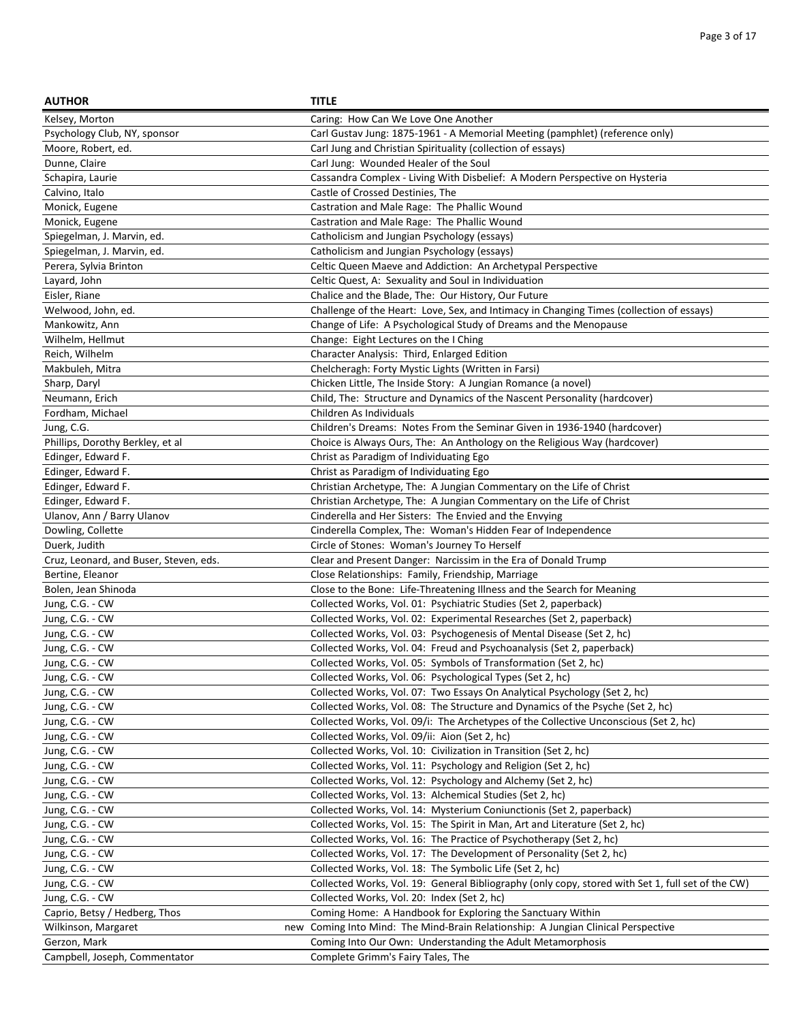| <b>AUTHOR</b>                          | <b>TITLE</b>                                                                                      |
|----------------------------------------|---------------------------------------------------------------------------------------------------|
| Kelsey, Morton                         | Caring: How Can We Love One Another                                                               |
| Psychology Club, NY, sponsor           | Carl Gustav Jung: 1875-1961 - A Memorial Meeting (pamphlet) (reference only)                      |
| Moore, Robert, ed.                     | Carl Jung and Christian Spirituality (collection of essays)                                       |
| Dunne, Claire                          | Carl Jung: Wounded Healer of the Soul                                                             |
| Schapira, Laurie                       | Cassandra Complex - Living With Disbelief: A Modern Perspective on Hysteria                       |
| Calvino, Italo                         | Castle of Crossed Destinies, The                                                                  |
| Monick, Eugene                         | Castration and Male Rage: The Phallic Wound                                                       |
| Monick, Eugene                         | Castration and Male Rage: The Phallic Wound                                                       |
| Spiegelman, J. Marvin, ed.             | Catholicism and Jungian Psychology (essays)                                                       |
| Spiegelman, J. Marvin, ed.             | Catholicism and Jungian Psychology (essays)                                                       |
| Perera, Sylvia Brinton                 | Celtic Queen Maeve and Addiction: An Archetypal Perspective                                       |
| Layard, John                           | Celtic Quest, A: Sexuality and Soul in Individuation                                              |
| Eisler, Riane                          | Chalice and the Blade, The: Our History, Our Future                                               |
| Welwood, John, ed.                     | Challenge of the Heart: Love, Sex, and Intimacy in Changing Times (collection of essays)          |
| Mankowitz, Ann                         | Change of Life: A Psychological Study of Dreams and the Menopause                                 |
| Wilhelm, Hellmut                       | Change: Eight Lectures on the I Ching                                                             |
| Reich, Wilhelm                         | Character Analysis: Third, Enlarged Edition                                                       |
| Makbuleh, Mitra                        | Chelcheragh: Forty Mystic Lights (Written in Farsi)                                               |
| Sharp, Daryl                           | Chicken Little, The Inside Story: A Jungian Romance (a novel)                                     |
| Neumann, Erich                         | Child, The: Structure and Dynamics of the Nascent Personality (hardcover)                         |
| Fordham, Michael                       | Children As Individuals                                                                           |
| Jung, C.G.                             | Children's Dreams: Notes From the Seminar Given in 1936-1940 (hardcover)                          |
| Phillips, Dorothy Berkley, et al       | Choice is Always Ours, The: An Anthology on the Religious Way (hardcover)                         |
| Edinger, Edward F.                     | Christ as Paradigm of Individuating Ego                                                           |
| Edinger, Edward F.                     | Christ as Paradigm of Individuating Ego                                                           |
| Edinger, Edward F.                     | Christian Archetype, The: A Jungian Commentary on the Life of Christ                              |
| Edinger, Edward F.                     | Christian Archetype, The: A Jungian Commentary on the Life of Christ                              |
| Ulanov, Ann / Barry Ulanov             | Cinderella and Her Sisters: The Envied and the Envying                                            |
| Dowling, Collette                      | Cinderella Complex, The: Woman's Hidden Fear of Independence                                      |
| Duerk, Judith                          | Circle of Stones: Woman's Journey To Herself                                                      |
| Cruz, Leonard, and Buser, Steven, eds. | Clear and Present Danger: Narcissim in the Era of Donald Trump                                    |
| Bertine, Eleanor                       | Close Relationships: Family, Friendship, Marriage                                                 |
| Bolen, Jean Shinoda                    | Close to the Bone: Life-Threatening Illness and the Search for Meaning                            |
| Jung, C.G. - CW                        | Collected Works, Vol. 01: Psychiatric Studies (Set 2, paperback)                                  |
| Jung, C.G. - CW                        | Collected Works, Vol. 02: Experimental Researches (Set 2, paperback)                              |
| Jung, C.G. - CW                        | Collected Works, Vol. 03: Psychogenesis of Mental Disease (Set 2, hc)                             |
| Jung, C.G. - CW                        | Collected Works, Vol. 04: Freud and Psychoanalysis (Set 2, paperback)                             |
| Jung, C.G. - CW                        | Collected Works, Vol. 05: Symbols of Transformation (Set 2, hc)                                   |
| Jung, C.G. - CW                        | Collected Works, Vol. 06: Psychological Types (Set 2, hc)                                         |
| Jung, C.G. - CW                        | Collected Works, Vol. 07: Two Essays On Analytical Psychology (Set 2, hc)                         |
| Jung, C.G. - CW                        | Collected Works, Vol. 08: The Structure and Dynamics of the Psyche (Set 2, hc)                    |
| Jung, C.G. - CW                        | Collected Works, Vol. 09/i: The Archetypes of the Collective Unconscious (Set 2, hc)              |
| Jung, C.G. - CW                        | Collected Works, Vol. 09/ii: Aion (Set 2, hc)                                                     |
| Jung, C.G. - CW                        | Collected Works, Vol. 10: Civilization in Transition (Set 2, hc)                                  |
| Jung, C.G. - CW                        | Collected Works, Vol. 11: Psychology and Religion (Set 2, hc)                                     |
| Jung, C.G. - CW                        | Collected Works, Vol. 12: Psychology and Alchemy (Set 2, hc)                                      |
| Jung, C.G. - CW                        | Collected Works, Vol. 13: Alchemical Studies (Set 2, hc)                                          |
| Jung, C.G. - CW                        | Collected Works, Vol. 14: Mysterium Coniunctionis (Set 2, paperback)                              |
| Jung, C.G. - CW                        | Collected Works, Vol. 15: The Spirit in Man, Art and Literature (Set 2, hc)                       |
| Jung, C.G. - CW                        | Collected Works, Vol. 16: The Practice of Psychotherapy (Set 2, hc)                               |
| Jung, C.G. - CW                        | Collected Works, Vol. 17: The Development of Personality (Set 2, hc)                              |
| Jung, C.G. - CW                        | Collected Works, Vol. 18: The Symbolic Life (Set 2, hc)                                           |
| Jung, C.G. - CW                        | Collected Works, Vol. 19: General Bibliography (only copy, stored with Set 1, full set of the CW) |
| Jung, C.G. - CW                        | Collected Works, Vol. 20: Index (Set 2, hc)                                                       |
| Caprio, Betsy / Hedberg, Thos          | Coming Home: A Handbook for Exploring the Sanctuary Within                                        |
| Wilkinson, Margaret                    | new Coming Into Mind: The Mind-Brain Relationship: A Jungian Clinical Perspective                 |
| Gerzon, Mark                           | Coming Into Our Own: Understanding the Adult Metamorphosis                                        |
| Campbell, Joseph, Commentator          | Complete Grimm's Fairy Tales, The                                                                 |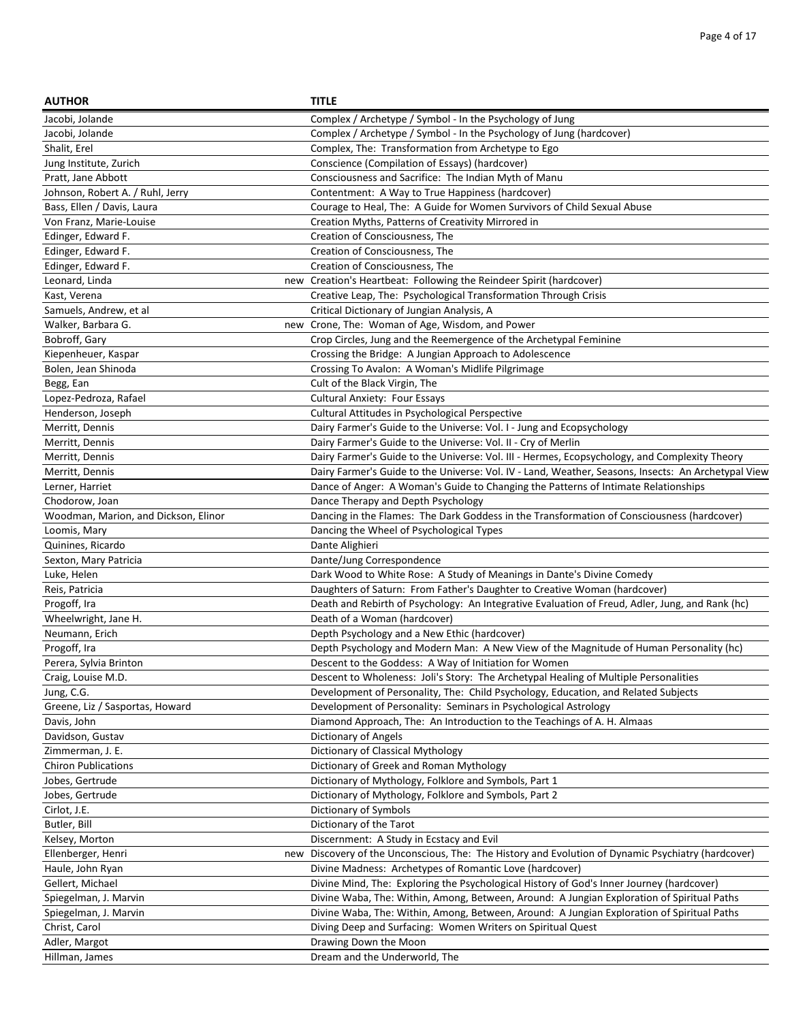| <b>AUTHOR</b>                        | <b>TITLE</b>                                                                                        |
|--------------------------------------|-----------------------------------------------------------------------------------------------------|
| Jacobi, Jolande                      | Complex / Archetype / Symbol - In the Psychology of Jung                                            |
| Jacobi, Jolande                      | Complex / Archetype / Symbol - In the Psychology of Jung (hardcover)                                |
| Shalit, Erel                         | Complex, The: Transformation from Archetype to Ego                                                  |
| Jung Institute, Zurich               | Conscience (Compilation of Essays) (hardcover)                                                      |
| Pratt, Jane Abbott                   | Consciousness and Sacrifice: The Indian Myth of Manu                                                |
| Johnson, Robert A. / Ruhl, Jerry     | Contentment: A Way to True Happiness (hardcover)                                                    |
| Bass, Ellen / Davis, Laura           | Courage to Heal, The: A Guide for Women Survivors of Child Sexual Abuse                             |
| Von Franz, Marie-Louise              | Creation Myths, Patterns of Creativity Mirrored in                                                  |
| Edinger, Edward F.                   | Creation of Consciousness, The                                                                      |
| Edinger, Edward F.                   | Creation of Consciousness, The                                                                      |
| Edinger, Edward F.                   | Creation of Consciousness. The                                                                      |
| Leonard, Linda                       | new Creation's Heartbeat: Following the Reindeer Spirit (hardcover)                                 |
| Kast, Verena                         | Creative Leap, The: Psychological Transformation Through Crisis                                     |
| Samuels, Andrew, et al               | Critical Dictionary of Jungian Analysis, A                                                          |
| Walker, Barbara G.                   | new Crone, The: Woman of Age, Wisdom, and Power                                                     |
| Bobroff, Gary                        | Crop Circles, Jung and the Reemergence of the Archetypal Feminine                                   |
| Kiepenheuer, Kaspar                  | Crossing the Bridge: A Jungian Approach to Adolescence                                              |
| Bolen, Jean Shinoda                  | Crossing To Avalon: A Woman's Midlife Pilgrimage                                                    |
| Begg, Ean                            | Cult of the Black Virgin, The                                                                       |
| Lopez-Pedroza, Rafael                | Cultural Anxiety: Four Essays                                                                       |
| Henderson, Joseph                    | Cultural Attitudes in Psychological Perspective                                                     |
| Merritt, Dennis                      | Dairy Farmer's Guide to the Universe: Vol. I - Jung and Ecopsychology                               |
| Merritt, Dennis                      | Dairy Farmer's Guide to the Universe: Vol. II - Cry of Merlin                                       |
| Merritt, Dennis                      | Dairy Farmer's Guide to the Universe: Vol. III - Hermes, Ecopsychology, and Complexity Theory       |
| Merritt, Dennis                      | Dairy Farmer's Guide to the Universe: Vol. IV - Land, Weather, Seasons, Insects: An Archetypal View |
| Lerner, Harriet                      | Dance of Anger: A Woman's Guide to Changing the Patterns of Intimate Relationships                  |
| Chodorow, Joan                       | Dance Therapy and Depth Psychology                                                                  |
| Woodman, Marion, and Dickson, Elinor | Dancing in the Flames: The Dark Goddess in the Transformation of Consciousness (hardcover)          |
| Loomis, Mary                         | Dancing the Wheel of Psychological Types                                                            |
| Quinines, Ricardo                    | Dante Alighieri                                                                                     |
| Sexton, Mary Patricia                | Dante/Jung Correspondence                                                                           |
| Luke, Helen                          | Dark Wood to White Rose: A Study of Meanings in Dante's Divine Comedy                               |
| Reis, Patricia                       | Daughters of Saturn: From Father's Daughter to Creative Woman (hardcover)                           |
| Progoff, Ira                         | Death and Rebirth of Psychology: An Integrative Evaluation of Freud, Adler, Jung, and Rank (hc)     |
| Wheelwright, Jane H.                 | Death of a Woman (hardcover)                                                                        |
| Neumann, Erich                       | Depth Psychology and a New Ethic (hardcover)                                                        |
| Progoff, Ira                         | Depth Psychology and Modern Man: A New View of the Magnitude of Human Personality (hc)              |
| Perera, Sylvia Brinton               | Descent to the Goddess: A Way of Initiation for Women                                               |
| Craig, Louise M.D.                   | Descent to Wholeness: Joli's Story: The Archetypal Healing of Multiple Personalities                |
| Jung, C.G.                           | Development of Personality, The: Child Psychology, Education, and Related Subjects                  |
| Greene, Liz / Sasportas, Howard      | Development of Personality: Seminars in Psychological Astrology                                     |
| Davis, John                          | Diamond Approach, The: An Introduction to the Teachings of A. H. Almaas                             |
| Davidson, Gustav                     | Dictionary of Angels                                                                                |
| Zimmerman, J. E.                     | Dictionary of Classical Mythology                                                                   |
| <b>Chiron Publications</b>           | Dictionary of Greek and Roman Mythology                                                             |
| Jobes, Gertrude                      | Dictionary of Mythology, Folklore and Symbols, Part 1                                               |
| Jobes, Gertrude                      | Dictionary of Mythology, Folklore and Symbols, Part 2                                               |
| Cirlot, J.E.                         | Dictionary of Symbols                                                                               |
| Butler, Bill                         | Dictionary of the Tarot                                                                             |
| Kelsey, Morton                       | Discernment: A Study in Ecstacy and Evil                                                            |
| Ellenberger, Henri<br>new            | Discovery of the Unconscious, The: The History and Evolution of Dynamic Psychiatry (hardcover)      |
| Haule, John Ryan                     | Divine Madness: Archetypes of Romantic Love (hardcover)                                             |
| Gellert, Michael                     | Divine Mind, The: Exploring the Psychological History of God's Inner Journey (hardcover)            |
| Spiegelman, J. Marvin                | Divine Waba, The: Within, Among, Between, Around: A Jungian Exploration of Spiritual Paths          |
| Spiegelman, J. Marvin                | Divine Waba, The: Within, Among, Between, Around: A Jungian Exploration of Spiritual Paths          |
| Christ, Carol                        | Diving Deep and Surfacing: Women Writers on Spiritual Quest                                         |
| Adler, Margot                        | Drawing Down the Moon                                                                               |
| Hillman, James                       | Dream and the Underworld, The                                                                       |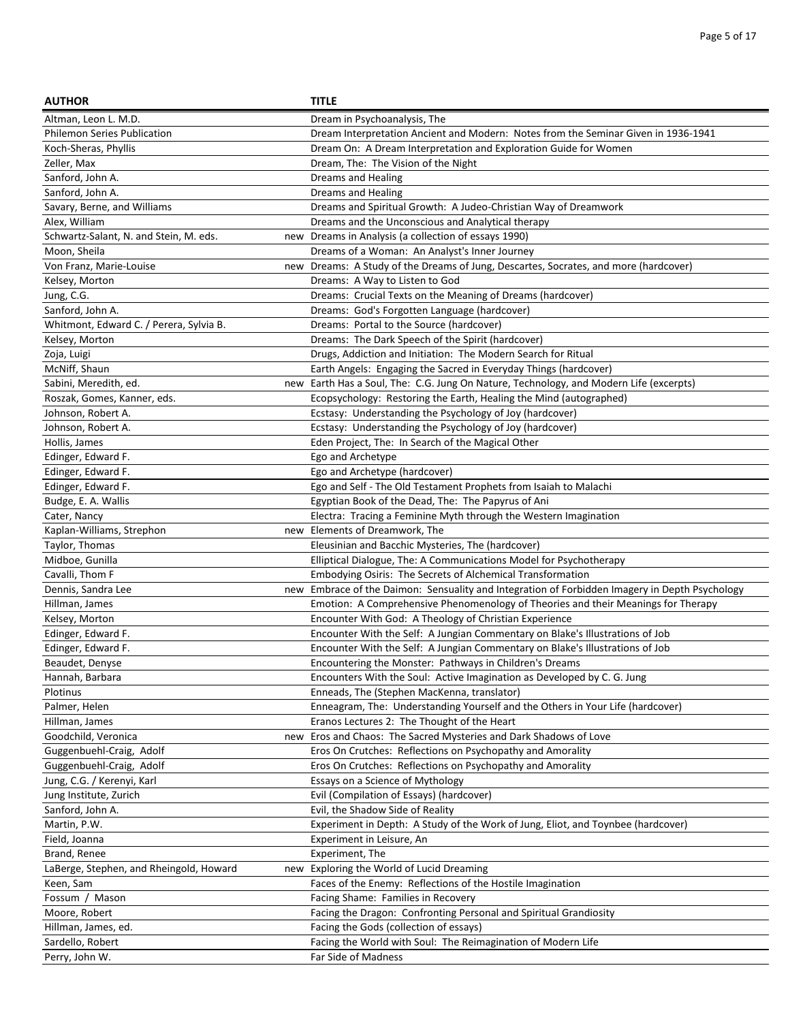| <b>AUTHOR</b>                                 | <b>TITLE</b>                                                                                   |
|-----------------------------------------------|------------------------------------------------------------------------------------------------|
| Altman, Leon L. M.D.                          | Dream in Psychoanalysis, The                                                                   |
| <b>Philemon Series Publication</b>            | Dream Interpretation Ancient and Modern: Notes from the Seminar Given in 1936-1941             |
| Koch-Sheras, Phyllis                          | Dream On: A Dream Interpretation and Exploration Guide for Women                               |
| Zeller, Max                                   | Dream, The: The Vision of the Night                                                            |
| Sanford, John A.                              | Dreams and Healing                                                                             |
| Sanford, John A.                              | <b>Dreams and Healing</b>                                                                      |
| Savary, Berne, and Williams                   | Dreams and Spiritual Growth: A Judeo-Christian Way of Dreamwork                                |
| Alex, William                                 | Dreams and the Unconscious and Analytical therapy                                              |
| Schwartz-Salant, N. and Stein, M. eds.<br>new | Dreams in Analysis (a collection of essays 1990)                                               |
| Moon, Sheila                                  | Dreams of a Woman: An Analyst's Inner Journey                                                  |
| Von Franz, Marie-Louise                       | new Dreams: A Study of the Dreams of Jung, Descartes, Socrates, and more (hardcover)           |
| Kelsey, Morton                                | Dreams: A Way to Listen to God                                                                 |
| Jung, C.G.                                    | Dreams: Crucial Texts on the Meaning of Dreams (hardcover)                                     |
| Sanford, John A.                              | Dreams: God's Forgotten Language (hardcover)                                                   |
| Whitmont, Edward C. / Perera, Sylvia B.       | Dreams: Portal to the Source (hardcover)                                                       |
| Kelsey, Morton                                | Dreams: The Dark Speech of the Spirit (hardcover)                                              |
| Zoja, Luigi                                   | Drugs, Addiction and Initiation: The Modern Search for Ritual                                  |
| McNiff, Shaun                                 | Earth Angels: Engaging the Sacred in Everyday Things (hardcover)                               |
| Sabini, Meredith, ed.<br>new                  | Earth Has a Soul, The: C.G. Jung On Nature, Technology, and Modern Life (excerpts)             |
| Roszak, Gomes, Kanner, eds.                   | Ecopsychology: Restoring the Earth, Healing the Mind (autographed)                             |
| Johnson, Robert A.                            | Ecstasy: Understanding the Psychology of Joy (hardcover)                                       |
| Johnson, Robert A.                            | Ecstasy: Understanding the Psychology of Joy (hardcover)                                       |
| Hollis, James                                 | Eden Project, The: In Search of the Magical Other                                              |
| Edinger, Edward F.                            | Ego and Archetype                                                                              |
| Edinger, Edward F.                            | Ego and Archetype (hardcover)                                                                  |
| Edinger, Edward F.                            | Ego and Self - The Old Testament Prophets from Isaiah to Malachi                               |
| Budge, E. A. Wallis                           | Egyptian Book of the Dead, The: The Papyrus of Ani                                             |
| Cater, Nancy                                  | Electra: Tracing a Feminine Myth through the Western Imagination                               |
| Kaplan-Williams, Strephon                     | new Elements of Dreamwork, The                                                                 |
| Taylor, Thomas                                | Eleusinian and Bacchic Mysteries, The (hardcover)                                              |
| Midboe, Gunilla                               | Elliptical Dialogue, The: A Communications Model for Psychotherapy                             |
| Cavalli, Thom F                               | Embodying Osiris: The Secrets of Alchemical Transformation                                     |
| Dennis, Sandra Lee                            | new Embrace of the Daimon: Sensuality and Integration of Forbidden Imagery in Depth Psychology |
| Hillman, James                                | Emotion: A Comprehensive Phenomenology of Theories and their Meanings for Therapy              |
| Kelsey, Morton                                | Encounter With God: A Theology of Christian Experience                                         |
| Edinger, Edward F.                            | Encounter With the Self: A Jungian Commentary on Blake's Illustrations of Job                  |
| Edinger, Edward F.                            | Encounter With the Self: A Jungian Commentary on Blake's Illustrations of Job                  |
| Beaudet, Denyse                               | Encountering the Monster: Pathways in Children's Dreams                                        |
| Hannah, Barbara                               | Encounters With the Soul: Active Imagination as Developed by C. G. Jung                        |
| Plotinus                                      | Enneads, The (Stephen MacKenna, translator)                                                    |
| Palmer, Helen                                 | Enneagram, The: Understanding Yourself and the Others in Your Life (hardcover)                 |
| Hillman, James                                | Eranos Lectures 2: The Thought of the Heart                                                    |
| Goodchild, Veronica                           | new Eros and Chaos: The Sacred Mysteries and Dark Shadows of Love                              |
| Guggenbuehl-Craig, Adolf                      | Eros On Crutches: Reflections on Psychopathy and Amorality                                     |
| Guggenbuehl-Craig, Adolf                      | Eros On Crutches: Reflections on Psychopathy and Amorality                                     |
| Jung, C.G. / Kerenyi, Karl                    | Essays on a Science of Mythology                                                               |
| Jung Institute, Zurich                        | Evil (Compilation of Essays) (hardcover)                                                       |
| Sanford, John A.                              | Evil, the Shadow Side of Reality                                                               |
| Martin, P.W.                                  | Experiment in Depth: A Study of the Work of Jung, Eliot, and Toynbee (hardcover)               |
| Field, Joanna                                 | Experiment in Leisure, An                                                                      |
| Brand, Renee                                  | Experiment, The                                                                                |
| LaBerge, Stephen, and Rheingold, Howard       | new Exploring the World of Lucid Dreaming                                                      |
| Keen, Sam                                     | Faces of the Enemy: Reflections of the Hostile Imagination                                     |
| Fossum / Mason                                | Facing Shame: Families in Recovery                                                             |
| Moore, Robert                                 | Facing the Dragon: Confronting Personal and Spiritual Grandiosity                              |
| Hillman, James, ed.                           | Facing the Gods (collection of essays)                                                         |
| Sardello, Robert                              | Facing the World with Soul: The Reimagination of Modern Life                                   |
| Perry, John W.                                | Far Side of Madness                                                                            |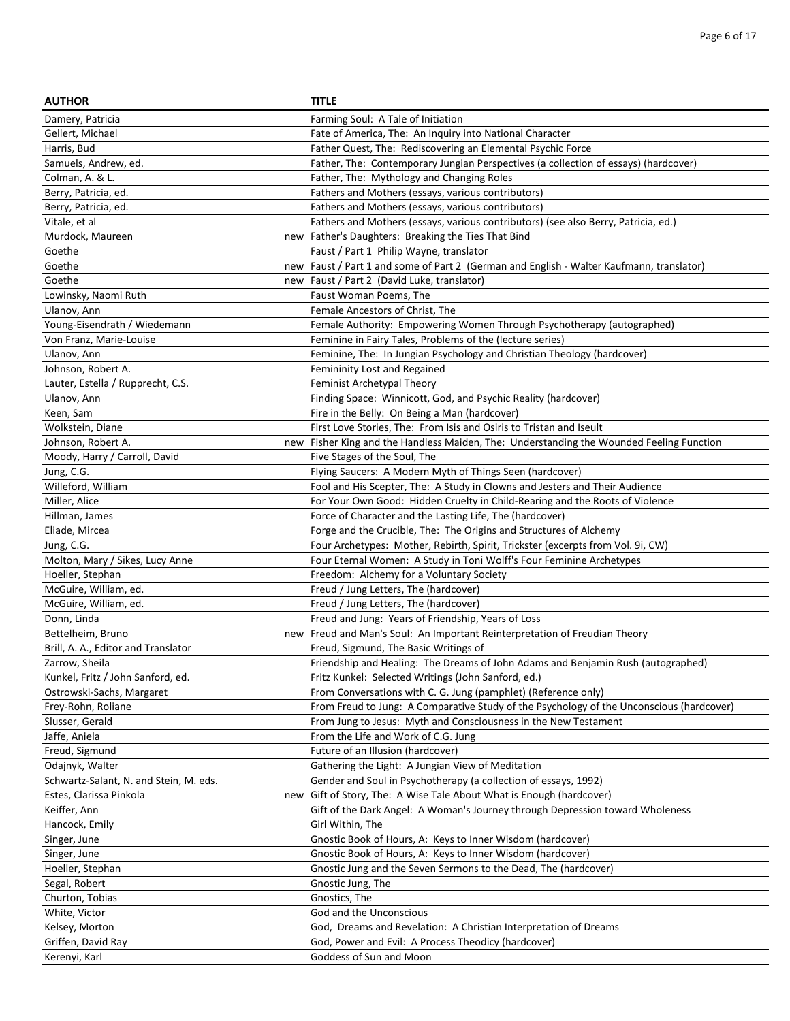| <b>AUTHOR</b>                          | <b>TITLE</b>                                                                             |
|----------------------------------------|------------------------------------------------------------------------------------------|
| Damery, Patricia                       | Farming Soul: A Tale of Initiation                                                       |
| Gellert, Michael                       | Fate of America, The: An Inquiry into National Character                                 |
| Harris, Bud                            | Father Quest, The: Rediscovering an Elemental Psychic Force                              |
| Samuels, Andrew, ed.                   | Father, The: Contemporary Jungian Perspectives (a collection of essays) (hardcover)      |
| Colman, A. & L.                        | Father, The: Mythology and Changing Roles                                                |
| Berry, Patricia, ed.                   | Fathers and Mothers (essays, various contributors)                                       |
| Berry, Patricia, ed.                   | Fathers and Mothers (essays, various contributors)                                       |
| Vitale, et al                          | Fathers and Mothers (essays, various contributors) (see also Berry, Patricia, ed.)       |
| Murdock, Maureen                       | new Father's Daughters: Breaking the Ties That Bind                                      |
| Goethe                                 | Faust / Part 1 Philip Wayne, translator                                                  |
| Goethe                                 | new Faust / Part 1 and some of Part 2 (German and English - Walter Kaufmann, translator) |
| Goethe                                 | new Faust / Part 2 (David Luke, translator)                                              |
| Lowinsky, Naomi Ruth                   | Faust Woman Poems, The                                                                   |
| Ulanov, Ann                            | Female Ancestors of Christ, The                                                          |
| Young-Eisendrath / Wiedemann           | Female Authority: Empowering Women Through Psychotherapy (autographed)                   |
| Von Franz, Marie-Louise                | Feminine in Fairy Tales, Problems of the (lecture series)                                |
| Ulanov, Ann                            | Feminine, The: In Jungian Psychology and Christian Theology (hardcover)                  |
| Johnson, Robert A.                     | Femininity Lost and Regained                                                             |
| Lauter, Estella / Rupprecht, C.S.      | Feminist Archetypal Theory                                                               |
| Ulanov, Ann                            | Finding Space: Winnicott, God, and Psychic Reality (hardcover)                           |
| Keen, Sam                              | Fire in the Belly: On Being a Man (hardcover)                                            |
| Wolkstein, Diane                       | First Love Stories, The: From Isis and Osiris to Tristan and Iseult                      |
| Johnson, Robert A.                     | new Fisher King and the Handless Maiden, The: Understanding the Wounded Feeling Function |
| Moody, Harry / Carroll, David          | Five Stages of the Soul, The                                                             |
| Jung, C.G.                             | Flying Saucers: A Modern Myth of Things Seen (hardcover)                                 |
| Willeford, William                     | Fool and His Scepter, The: A Study in Clowns and Jesters and Their Audience              |
| Miller, Alice                          | For Your Own Good: Hidden Cruelty in Child-Rearing and the Roots of Violence             |
| Hillman, James                         | Force of Character and the Lasting Life, The (hardcover)                                 |
| Eliade, Mircea                         | Forge and the Crucible, The: The Origins and Structures of Alchemy                       |
| Jung, C.G.                             | Four Archetypes: Mother, Rebirth, Spirit, Trickster (excerpts from Vol. 9i, CW)          |
| Molton, Mary / Sikes, Lucy Anne        | Four Eternal Women: A Study in Toni Wolff's Four Feminine Archetypes                     |
| Hoeller, Stephan                       | Freedom: Alchemy for a Voluntary Society                                                 |
| McGuire, William, ed.                  | Freud / Jung Letters, The (hardcover)                                                    |
| McGuire, William, ed.                  | Freud / Jung Letters, The (hardcover)                                                    |
| Donn, Linda                            | Freud and Jung: Years of Friendship, Years of Loss                                       |
| Bettelheim, Bruno                      | new Freud and Man's Soul: An Important Reinterpretation of Freudian Theory               |
| Brill, A. A., Editor and Translator    | Freud, Sigmund, The Basic Writings of                                                    |
| Zarrow, Sheila                         | Friendship and Healing: The Dreams of John Adams and Benjamin Rush (autographed)         |
| Kunkel, Fritz / John Sanford, ed.      | Fritz Kunkel: Selected Writings (John Sanford, ed.)                                      |
| Ostrowski-Sachs, Margaret              | From Conversations with C. G. Jung (pamphlet) (Reference only)                           |
| Frey-Rohn, Roliane                     | From Freud to Jung: A Comparative Study of the Psychology of the Unconscious (hardcover) |
| Slusser, Gerald                        | From Jung to Jesus: Myth and Consciousness in the New Testament                          |
| Jaffe, Aniela                          | From the Life and Work of C.G. Jung                                                      |
| Freud, Sigmund                         | Future of an Illusion (hardcover)                                                        |
| Odajnyk, Walter                        | Gathering the Light: A Jungian View of Meditation                                        |
| Schwartz-Salant, N. and Stein, M. eds. | Gender and Soul in Psychotherapy (a collection of essays, 1992)                          |
| Estes, Clarissa Pinkola                | new Gift of Story, The: A Wise Tale About What is Enough (hardcover)                     |
| Keiffer, Ann                           | Gift of the Dark Angel: A Woman's Journey through Depression toward Wholeness            |
| Hancock, Emily                         | Girl Within, The                                                                         |
| Singer, June                           | Gnostic Book of Hours, A: Keys to Inner Wisdom (hardcover)                               |
| Singer, June                           | Gnostic Book of Hours, A: Keys to Inner Wisdom (hardcover)                               |
| Hoeller, Stephan                       | Gnostic Jung and the Seven Sermons to the Dead, The (hardcover)                          |
| Segal, Robert                          | Gnostic Jung, The                                                                        |
| Churton, Tobias                        | Gnostics, The                                                                            |
| White, Victor                          | God and the Unconscious                                                                  |
| Kelsey, Morton                         | God, Dreams and Revelation: A Christian Interpretation of Dreams                         |
| Griffen, David Ray                     | God, Power and Evil: A Process Theodicy (hardcover)                                      |
| Kerenyi, Karl                          | Goddess of Sun and Moon                                                                  |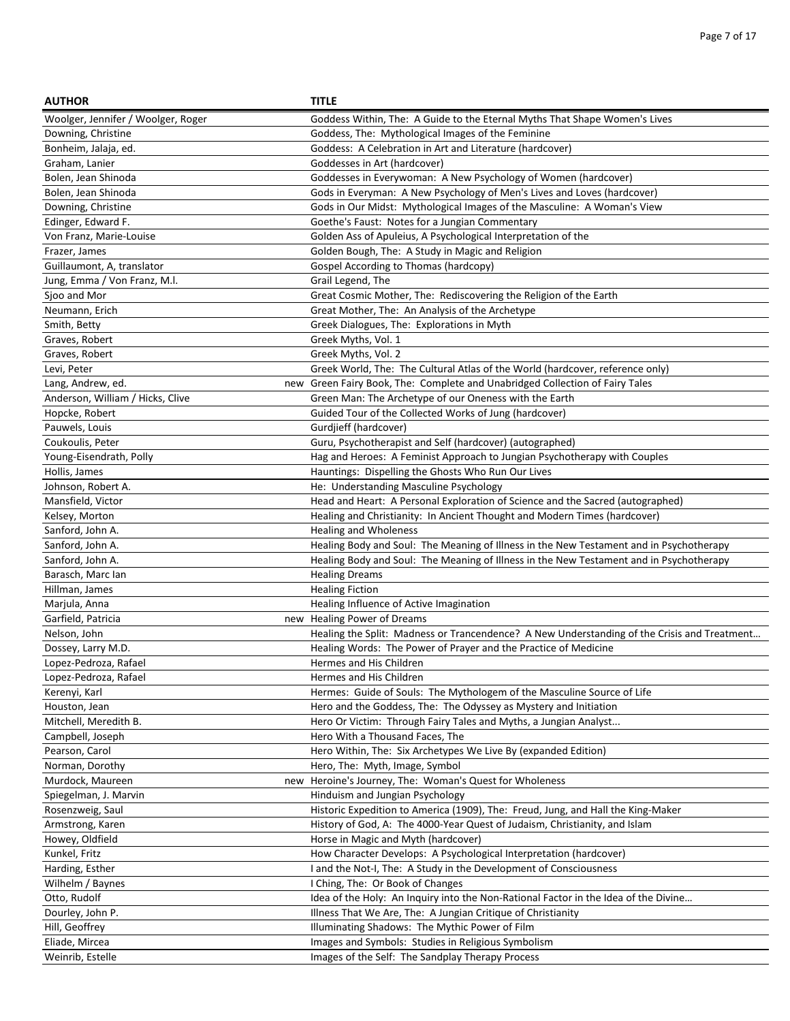| <b>AUTHOR</b>                      | <b>TITLE</b>                                                                                                                               |
|------------------------------------|--------------------------------------------------------------------------------------------------------------------------------------------|
| Woolger, Jennifer / Woolger, Roger | Goddess Within, The: A Guide to the Eternal Myths That Shape Women's Lives                                                                 |
| Downing, Christine                 | Goddess, The: Mythological Images of the Feminine                                                                                          |
| Bonheim, Jalaja, ed.               | Goddess: A Celebration in Art and Literature (hardcover)                                                                                   |
| Graham, Lanier                     | Goddesses in Art (hardcover)                                                                                                               |
| Bolen, Jean Shinoda                | Goddesses in Everywoman: A New Psychology of Women (hardcover)                                                                             |
| Bolen, Jean Shinoda                | Gods in Everyman: A New Psychology of Men's Lives and Loves (hardcover)                                                                    |
| Downing, Christine                 | Gods in Our Midst: Mythological Images of the Masculine: A Woman's View                                                                    |
| Edinger, Edward F.                 | Goethe's Faust: Notes for a Jungian Commentary                                                                                             |
| Von Franz, Marie-Louise            | Golden Ass of Apuleius, A Psychological Interpretation of the                                                                              |
| Frazer, James                      | Golden Bough, The: A Study in Magic and Religion                                                                                           |
| Guillaumont, A, translator         | Gospel According to Thomas (hardcopy)                                                                                                      |
| Jung, Emma / Von Franz, M.I.       | Grail Legend, The                                                                                                                          |
| Sjoo and Mor                       | Great Cosmic Mother, The: Rediscovering the Religion of the Earth                                                                          |
| Neumann, Erich                     | Great Mother, The: An Analysis of the Archetype                                                                                            |
| Smith, Betty                       | Greek Dialogues, The: Explorations in Myth                                                                                                 |
| Graves, Robert                     | Greek Myths, Vol. 1                                                                                                                        |
| Graves, Robert                     | Greek Myths, Vol. 2                                                                                                                        |
| Levi, Peter                        | Greek World, The: The Cultural Atlas of the World (hardcover, reference only)                                                              |
| Lang, Andrew, ed.                  | new Green Fairy Book, The: Complete and Unabridged Collection of Fairy Tales                                                               |
| Anderson, William / Hicks, Clive   | Green Man: The Archetype of our Oneness with the Earth                                                                                     |
| Hopcke, Robert                     | Guided Tour of the Collected Works of Jung (hardcover)                                                                                     |
| Pauwels, Louis                     | Gurdjieff (hardcover)                                                                                                                      |
| Coukoulis, Peter                   | Guru, Psychotherapist and Self (hardcover) (autographed)                                                                                   |
| Young-Eisendrath, Polly            | Hag and Heroes: A Feminist Approach to Jungian Psychotherapy with Couples                                                                  |
| Hollis, James                      | Hauntings: Dispelling the Ghosts Who Run Our Lives                                                                                         |
| Johnson, Robert A.                 | He: Understanding Masculine Psychology                                                                                                     |
| Mansfield, Victor                  | Head and Heart: A Personal Exploration of Science and the Sacred (autographed)                                                             |
| Kelsey, Morton                     | Healing and Christianity: In Ancient Thought and Modern Times (hardcover)                                                                  |
| Sanford, John A.                   | <b>Healing and Wholeness</b>                                                                                                               |
| Sanford, John A.                   | Healing Body and Soul: The Meaning of Illness in the New Testament and in Psychotherapy                                                    |
| Sanford, John A.                   | Healing Body and Soul: The Meaning of Illness in the New Testament and in Psychotherapy                                                    |
| Barasch, Marc Ian                  | <b>Healing Dreams</b>                                                                                                                      |
| Hillman, James                     | <b>Healing Fiction</b>                                                                                                                     |
| Marjula, Anna                      | Healing Influence of Active Imagination                                                                                                    |
| Garfield, Patricia                 | new Healing Power of Dreams                                                                                                                |
| Nelson, John                       | Healing the Split: Madness or Trancendence? A New Understanding of the Crisis and Treatment                                                |
| Dossey, Larry M.D.                 | Healing Words: The Power of Prayer and the Practice of Medicine                                                                            |
| Lopez-Pedroza, Rafael              | Hermes and His Children                                                                                                                    |
| Lopez-Pedroza, Rafael              | Hermes and His Children                                                                                                                    |
|                                    |                                                                                                                                            |
| Kerenyi, Karl                      | Hermes: Guide of Souls: The Mythologem of the Masculine Source of Life<br>Hero and the Goddess, The: The Odyssey as Mystery and Initiation |
| Houston, Jean                      |                                                                                                                                            |
| Mitchell, Meredith B.              | Hero Or Victim: Through Fairy Tales and Myths, a Jungian Analyst                                                                           |
| Campbell, Joseph                   | Hero With a Thousand Faces, The                                                                                                            |
| Pearson, Carol                     | Hero Within, The: Six Archetypes We Live By (expanded Edition)                                                                             |
| Norman, Dorothy                    | Hero, The: Myth, Image, Symbol                                                                                                             |
| Murdock, Maureen                   | new Heroine's Journey, The: Woman's Quest for Wholeness                                                                                    |
| Spiegelman, J. Marvin              | Hinduism and Jungian Psychology                                                                                                            |
| Rosenzweig, Saul                   | Historic Expedition to America (1909), The: Freud, Jung, and Hall the King-Maker                                                           |
| Armstrong, Karen                   | History of God, A: The 4000-Year Quest of Judaism, Christianity, and Islam                                                                 |
| Howey, Oldfield                    | Horse in Magic and Myth (hardcover)                                                                                                        |
| Kunkel, Fritz                      | How Character Develops: A Psychological Interpretation (hardcover)                                                                         |
| Harding, Esther                    | I and the Not-I, The: A Study in the Development of Consciousness                                                                          |
| Wilhelm / Baynes                   | I Ching, The: Or Book of Changes                                                                                                           |
| Otto, Rudolf                       | Idea of the Holy: An Inquiry into the Non-Rational Factor in the Idea of the Divine                                                        |
| Dourley, John P.                   | Illness That We Are, The: A Jungian Critique of Christianity                                                                               |
| Hill, Geoffrey                     | Illuminating Shadows: The Mythic Power of Film                                                                                             |
| Eliade, Mircea                     | Images and Symbols: Studies in Religious Symbolism                                                                                         |
| Weinrib, Estelle                   | Images of the Self: The Sandplay Therapy Process                                                                                           |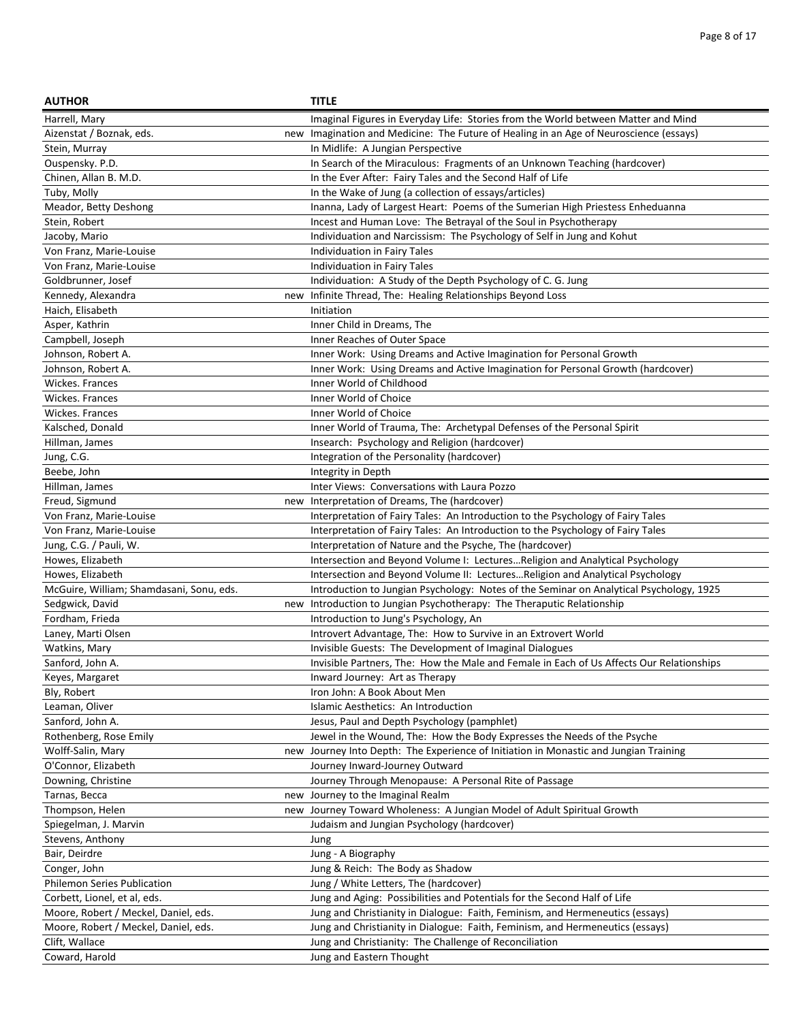| <b>AUTHOR</b>                            | <b>TITLE</b>                                                                             |
|------------------------------------------|------------------------------------------------------------------------------------------|
| Harrell, Mary                            | Imaginal Figures in Everyday Life: Stories from the World between Matter and Mind        |
| Aizenstat / Boznak, eds.                 | new Imagination and Medicine: The Future of Healing in an Age of Neuroscience (essays)   |
| Stein, Murray                            | In Midlife: A Jungian Perspective                                                        |
| Ouspensky. P.D.                          | In Search of the Miraculous: Fragments of an Unknown Teaching (hardcover)                |
| Chinen, Allan B. M.D.                    | In the Ever After: Fairy Tales and the Second Half of Life                               |
| Tuby, Molly                              | In the Wake of Jung (a collection of essays/articles)                                    |
| Meador, Betty Deshong                    | Inanna, Lady of Largest Heart: Poems of the Sumerian High Priestess Enheduanna           |
| Stein, Robert                            | Incest and Human Love: The Betrayal of the Soul in Psychotherapy                         |
| Jacoby, Mario                            | Individuation and Narcissism: The Psychology of Self in Jung and Kohut                   |
| Von Franz, Marie-Louise                  | Individuation in Fairy Tales                                                             |
| Von Franz, Marie-Louise                  | Individuation in Fairy Tales                                                             |
| Goldbrunner, Josef                       | Individuation: A Study of the Depth Psychology of C. G. Jung                             |
| Kennedy, Alexandra                       | new Infinite Thread, The: Healing Relationships Beyond Loss                              |
| Haich, Elisabeth                         | Initiation                                                                               |
| Asper, Kathrin                           | Inner Child in Dreams, The                                                               |
| Campbell, Joseph                         | Inner Reaches of Outer Space                                                             |
| Johnson, Robert A.                       | Inner Work: Using Dreams and Active Imagination for Personal Growth                      |
| Johnson, Robert A.                       | Inner Work: Using Dreams and Active Imagination for Personal Growth (hardcover)          |
| Wickes. Frances                          | Inner World of Childhood                                                                 |
| Wickes. Frances                          | Inner World of Choice                                                                    |
| Wickes. Frances                          | Inner World of Choice                                                                    |
| Kalsched, Donald                         | Inner World of Trauma, The: Archetypal Defenses of the Personal Spirit                   |
| Hillman, James                           | Insearch: Psychology and Religion (hardcover)                                            |
| Jung, C.G.                               | Integration of the Personality (hardcover)                                               |
| Beebe, John                              | Integrity in Depth                                                                       |
| Hillman, James                           | Inter Views: Conversations with Laura Pozzo                                              |
| Freud, Sigmund                           | new Interpretation of Dreams, The (hardcover)                                            |
| Von Franz, Marie-Louise                  | Interpretation of Fairy Tales: An Introduction to the Psychology of Fairy Tales          |
| Von Franz, Marie-Louise                  | Interpretation of Fairy Tales: An Introduction to the Psychology of Fairy Tales          |
| Jung, C.G. / Pauli, W.                   | Interpretation of Nature and the Psyche, The (hardcover)                                 |
| Howes, Elizabeth                         | Intersection and Beyond Volume I: LecturesReligion and Analytical Psychology             |
| Howes, Elizabeth                         | Intersection and Beyond Volume II: LecturesReligion and Analytical Psychology            |
| McGuire, William; Shamdasani, Sonu, eds. | Introduction to Jungian Psychology: Notes of the Seminar on Analytical Psychology, 1925  |
| Sedgwick, David                          | new Introduction to Jungian Psychotherapy: The Theraputic Relationship                   |
| Fordham, Frieda                          | Introduction to Jung's Psychology, An                                                    |
| Laney, Marti Olsen                       | Introvert Advantage, The: How to Survive in an Extrovert World                           |
| Watkins, Mary                            | Invisible Guests: The Development of Imaginal Dialogues                                  |
| Sanford, John A.                         | Invisible Partners, The: How the Male and Female in Each of Us Affects Our Relationships |
| Keyes, Margaret                          | Inward Journey: Art as Therapy                                                           |
| Bly, Robert                              | Iron John: A Book About Men                                                              |
| Leaman, Oliver                           | Islamic Aesthetics: An Introduction                                                      |
| Sanford, John A.                         | Jesus, Paul and Depth Psychology (pamphlet)                                              |
| Rothenberg, Rose Emily                   | Jewel in the Wound, The: How the Body Expresses the Needs of the Psyche                  |
| Wolff-Salin, Mary                        | new Journey Into Depth: The Experience of Initiation in Monastic and Jungian Training    |
| O'Connor, Elizabeth                      | Journey Inward-Journey Outward                                                           |
| Downing, Christine                       | Journey Through Menopause: A Personal Rite of Passage                                    |
| Tarnas, Becca                            | new Journey to the Imaginal Realm                                                        |
| Thompson, Helen                          | new Journey Toward Wholeness: A Jungian Model of Adult Spiritual Growth                  |
| Spiegelman, J. Marvin                    | Judaism and Jungian Psychology (hardcover)                                               |
| Stevens, Anthony                         | Jung                                                                                     |
| Bair, Deirdre                            | Jung - A Biography                                                                       |
| Conger, John                             | Jung & Reich: The Body as Shadow                                                         |
| Philemon Series Publication              | Jung / White Letters, The (hardcover)                                                    |
| Corbett, Lionel, et al, eds.             | Jung and Aging: Possibilities and Potentials for the Second Half of Life                 |
| Moore, Robert / Meckel, Daniel, eds.     | Jung and Christianity in Dialogue: Faith, Feminism, and Hermeneutics (essays)            |
| Moore, Robert / Meckel, Daniel, eds.     | Jung and Christianity in Dialogue: Faith, Feminism, and Hermeneutics (essays)            |
| Clift, Wallace                           | Jung and Christianity: The Challenge of Reconciliation                                   |
| Coward, Harold                           | Jung and Eastern Thought                                                                 |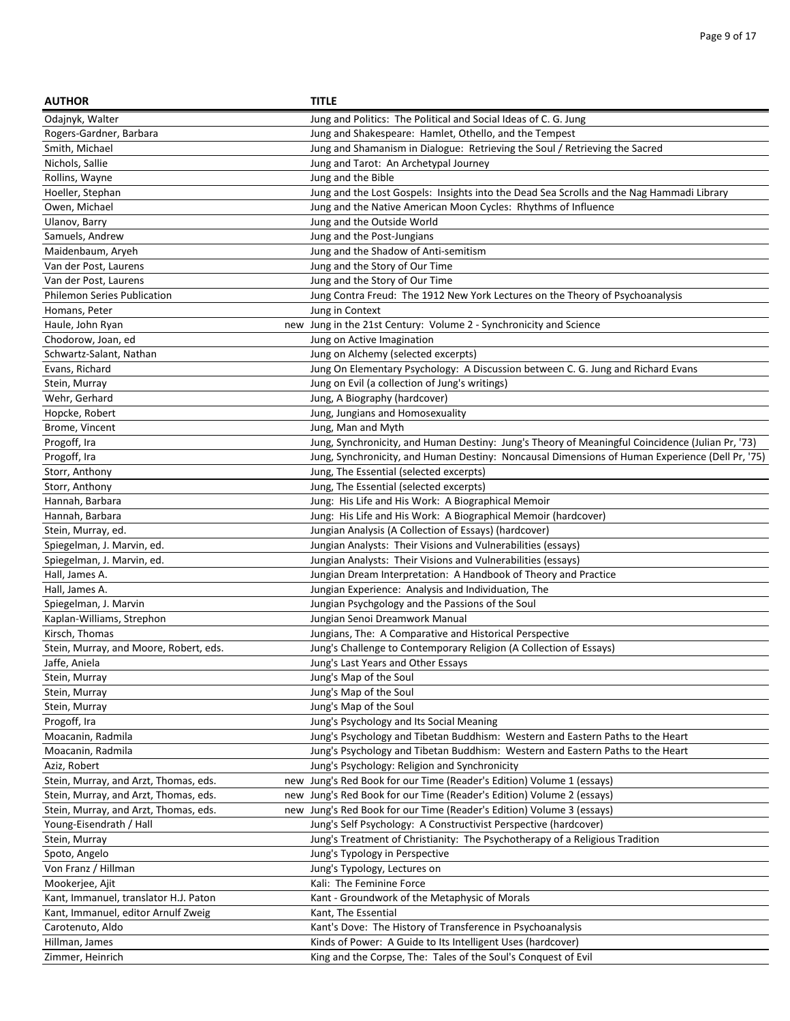| <b>AUTHOR</b>                          | <b>TITLE</b>                                                                                     |
|----------------------------------------|--------------------------------------------------------------------------------------------------|
| Odajnyk, Walter                        | Jung and Politics: The Political and Social Ideas of C. G. Jung                                  |
| Rogers-Gardner, Barbara                | Jung and Shakespeare: Hamlet, Othello, and the Tempest                                           |
| Smith, Michael                         | Jung and Shamanism in Dialogue: Retrieving the Soul / Retrieving the Sacred                      |
| Nichols, Sallie                        | Jung and Tarot: An Archetypal Journey                                                            |
| Rollins, Wayne                         | Jung and the Bible                                                                               |
| Hoeller, Stephan                       | Jung and the Lost Gospels: Insights into the Dead Sea Scrolls and the Nag Hammadi Library        |
| Owen, Michael                          | Jung and the Native American Moon Cycles: Rhythms of Influence                                   |
| Ulanov, Barry                          | Jung and the Outside World                                                                       |
| Samuels, Andrew                        | Jung and the Post-Jungians                                                                       |
| Maidenbaum, Aryeh                      | Jung and the Shadow of Anti-semitism                                                             |
| Van der Post, Laurens                  | Jung and the Story of Our Time                                                                   |
| Van der Post, Laurens                  | Jung and the Story of Our Time                                                                   |
| <b>Philemon Series Publication</b>     | Jung Contra Freud: The 1912 New York Lectures on the Theory of Psychoanalysis                    |
| Homans, Peter                          | Jung in Context                                                                                  |
| Haule, John Ryan                       | new Jung in the 21st Century: Volume 2 - Synchronicity and Science                               |
| Chodorow, Joan, ed                     | Jung on Active Imagination                                                                       |
| Schwartz-Salant, Nathan                | Jung on Alchemy (selected excerpts)                                                              |
| Evans, Richard                         | Jung On Elementary Psychology: A Discussion between C. G. Jung and Richard Evans                 |
| Stein, Murray                          | Jung on Evil (a collection of Jung's writings)                                                   |
| Wehr, Gerhard                          | Jung, A Biography (hardcover)                                                                    |
| Hopcke, Robert                         | Jung, Jungians and Homosexuality                                                                 |
| Brome, Vincent                         | Jung, Man and Myth                                                                               |
| Progoff, Ira                           | Jung, Synchronicity, and Human Destiny: Jung's Theory of Meaningful Coincidence (Julian Pr, '73) |
| Progoff, Ira                           | Jung, Synchronicity, and Human Destiny: Noncausal Dimensions of Human Experience (Dell Pr, '75)  |
| Storr, Anthony                         | Jung, The Essential (selected excerpts)                                                          |
| Storr, Anthony                         | Jung, The Essential (selected excerpts)                                                          |
| Hannah, Barbara                        | Jung: His Life and His Work: A Biographical Memoir                                               |
| Hannah, Barbara                        | Jung: His Life and His Work: A Biographical Memoir (hardcover)                                   |
| Stein, Murray, ed.                     | Jungian Analysis (A Collection of Essays) (hardcover)                                            |
| Spiegelman, J. Marvin, ed.             | Jungian Analysts: Their Visions and Vulnerabilities (essays)                                     |
| Spiegelman, J. Marvin, ed.             | Jungian Analysts: Their Visions and Vulnerabilities (essays)                                     |
| Hall, James A.                         | Jungian Dream Interpretation: A Handbook of Theory and Practice                                  |
| Hall, James A.                         | Jungian Experience: Analysis and Individuation, The                                              |
| Spiegelman, J. Marvin                  | Jungian Psychgology and the Passions of the Soul                                                 |
| Kaplan-Williams, Strephon              | Jungian Senoi Dreamwork Manual                                                                   |
| Kirsch, Thomas                         | Jungians, The: A Comparative and Historical Perspective                                          |
| Stein, Murray, and Moore, Robert, eds. | Jung's Challenge to Contemporary Religion (A Collection of Essays)                               |
| Jaffe, Aniela                          | Jung's Last Years and Other Essays                                                               |
| Stein, Murray                          | Jung's Map of the Soul                                                                           |
| Stein, Murray                          | Jung's Map of the Soul                                                                           |
| Stein, Murray                          | Jung's Map of the Soul                                                                           |
| Progoff, Ira                           | Jung's Psychology and Its Social Meaning                                                         |
| Moacanin, Radmila                      | Jung's Psychology and Tibetan Buddhism: Western and Eastern Paths to the Heart                   |
| Moacanin, Radmila                      | Jung's Psychology and Tibetan Buddhism: Western and Eastern Paths to the Heart                   |
| Aziz, Robert                           | Jung's Psychology: Religion and Synchronicity                                                    |
| Stein, Murray, and Arzt, Thomas, eds.  | new Jung's Red Book for our Time (Reader's Edition) Volume 1 (essays)                            |
| Stein, Murray, and Arzt, Thomas, eds.  | new Jung's Red Book for our Time (Reader's Edition) Volume 2 (essays)                            |
| Stein, Murray, and Arzt, Thomas, eds.  | new Jung's Red Book for our Time (Reader's Edition) Volume 3 (essays)                            |
| Young-Eisendrath / Hall                | Jung's Self Psychology: A Constructivist Perspective (hardcover)                                 |
| Stein, Murray                          | Jung's Treatment of Christianity: The Psychotherapy of a Religious Tradition                     |
| Spoto, Angelo                          | Jung's Typology in Perspective                                                                   |
| Von Franz / Hillman                    | Jung's Typology, Lectures on                                                                     |
| Mookerjee, Ajit                        | Kali: The Feminine Force                                                                         |
| Kant, Immanuel, translator H.J. Paton  | Kant - Groundwork of the Metaphysic of Morals                                                    |
| Kant, Immanuel, editor Arnulf Zweig    | Kant, The Essential                                                                              |
| Carotenuto, Aldo                       | Kant's Dove: The History of Transference in Psychoanalysis                                       |
| Hillman, James                         | Kinds of Power: A Guide to Its Intelligent Uses (hardcover)                                      |
| Zimmer, Heinrich                       | King and the Corpse, The: Tales of the Soul's Conquest of Evil                                   |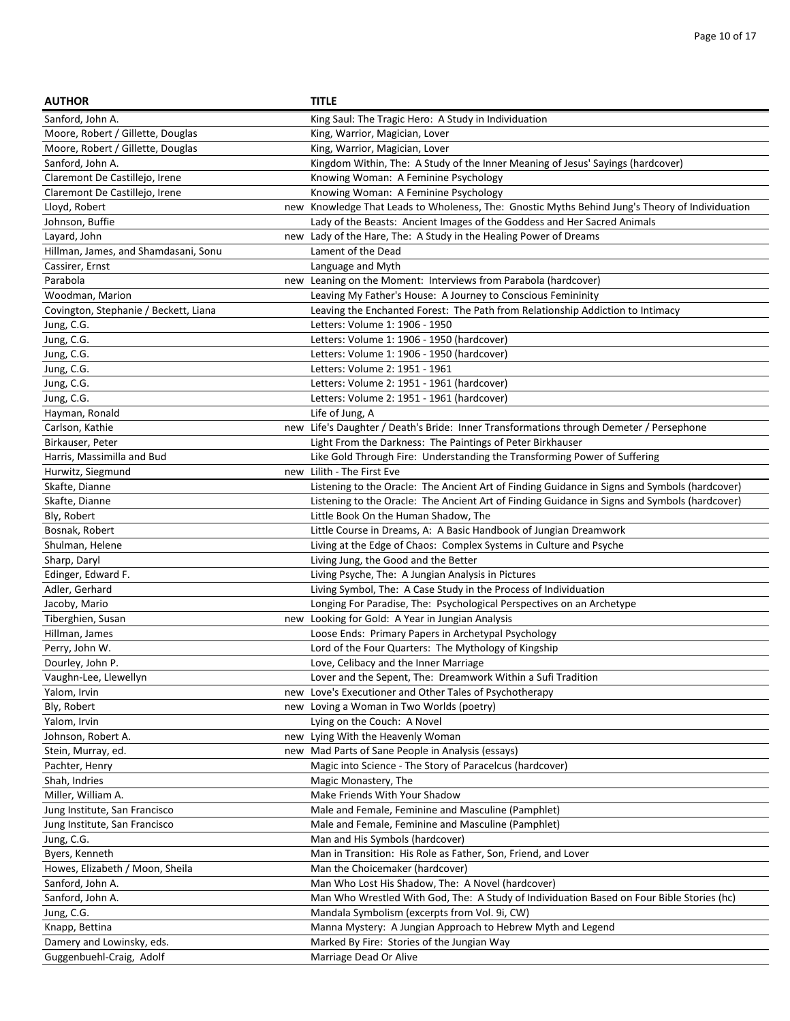| <b>AUTHOR</b>                                                  | <b>TITLE</b>                                                                                                                                   |
|----------------------------------------------------------------|------------------------------------------------------------------------------------------------------------------------------------------------|
| Sanford, John A.                                               | King Saul: The Tragic Hero: A Study in Individuation                                                                                           |
| Moore, Robert / Gillette, Douglas                              | King, Warrior, Magician, Lover                                                                                                                 |
| Moore, Robert / Gillette, Douglas                              | King, Warrior, Magician, Lover                                                                                                                 |
| Sanford, John A.                                               | Kingdom Within, The: A Study of the Inner Meaning of Jesus' Sayings (hardcover)                                                                |
| Claremont De Castillejo, Irene                                 | Knowing Woman: A Feminine Psychology                                                                                                           |
| Claremont De Castillejo, Irene                                 | Knowing Woman: A Feminine Psychology                                                                                                           |
| Lloyd, Robert                                                  | new Knowledge That Leads to Wholeness, The: Gnostic Myths Behind Jung's Theory of Individuation                                                |
| Johnson, Buffie                                                | Lady of the Beasts: Ancient Images of the Goddess and Her Sacred Animals                                                                       |
| Layard, John                                                   | new Lady of the Hare, The: A Study in the Healing Power of Dreams                                                                              |
| Hillman, James, and Shamdasani, Sonu                           | Lament of the Dead                                                                                                                             |
| Cassirer, Ernst                                                | Language and Myth                                                                                                                              |
| Parabola                                                       | new Leaning on the Moment: Interviews from Parabola (hardcover)                                                                                |
| Woodman, Marion                                                | Leaving My Father's House: A Journey to Conscious Femininity                                                                                   |
| Covington, Stephanie / Beckett, Liana                          | Leaving the Enchanted Forest: The Path from Relationship Addiction to Intimacy                                                                 |
| Jung, C.G.                                                     | Letters: Volume 1: 1906 - 1950                                                                                                                 |
| Jung, C.G.                                                     | Letters: Volume 1: 1906 - 1950 (hardcover)                                                                                                     |
| Jung, C.G.                                                     | Letters: Volume 1: 1906 - 1950 (hardcover)                                                                                                     |
| Jung, C.G.                                                     | Letters: Volume 2: 1951 - 1961                                                                                                                 |
| Jung, C.G.                                                     | Letters: Volume 2: 1951 - 1961 (hardcover)                                                                                                     |
| Jung, C.G.                                                     | Letters: Volume 2: 1951 - 1961 (hardcover)                                                                                                     |
| Hayman, Ronald                                                 | Life of Jung, A                                                                                                                                |
| Carlson, Kathie                                                | new Life's Daughter / Death's Bride: Inner Transformations through Demeter / Persephone                                                        |
| Birkauser, Peter                                               | Light From the Darkness: The Paintings of Peter Birkhauser                                                                                     |
| Harris, Massimilla and Bud                                     | Like Gold Through Fire: Understanding the Transforming Power of Suffering                                                                      |
| Hurwitz, Siegmund                                              | new Lilith - The First Eve                                                                                                                     |
| Skafte, Dianne                                                 | Listening to the Oracle: The Ancient Art of Finding Guidance in Signs and Symbols (hardcover)                                                  |
| Skafte, Dianne                                                 | Listening to the Oracle: The Ancient Art of Finding Guidance in Signs and Symbols (hardcover)                                                  |
| Bly, Robert                                                    | Little Book On the Human Shadow, The                                                                                                           |
| Bosnak, Robert                                                 | Little Course in Dreams, A: A Basic Handbook of Jungian Dreamwork                                                                              |
| Shulman, Helene                                                | Living at the Edge of Chaos: Complex Systems in Culture and Psyche                                                                             |
| Sharp, Daryl                                                   | Living Jung, the Good and the Better                                                                                                           |
| Edinger, Edward F.                                             | Living Psyche, The: A Jungian Analysis in Pictures                                                                                             |
| Adler, Gerhard                                                 | Living Symbol, The: A Case Study in the Process of Individuation                                                                               |
| Jacoby, Mario                                                  | Longing For Paradise, The: Psychological Perspectives on an Archetype                                                                          |
| Tiberghien, Susan                                              | new Looking for Gold: A Year in Jungian Analysis                                                                                               |
| Hillman, James                                                 | Loose Ends: Primary Papers in Archetypal Psychology                                                                                            |
| Perry, John W.                                                 | Lord of the Four Quarters: The Mythology of Kingship                                                                                           |
| Dourley, John P.                                               | Love, Celibacy and the Inner Marriage                                                                                                          |
| Vaughn-Lee, Llewellyn                                          | Lover and the Sepent, The: Dreamwork Within a Sufi Tradition                                                                                   |
| Yalom, Irvin<br>new                                            | Love's Executioner and Other Tales of Psychotherapy                                                                                            |
| Bly, Robert                                                    | new Loving a Woman in Two Worlds (poetry)                                                                                                      |
| Yalom, Irvin                                                   | Lying on the Couch: A Novel                                                                                                                    |
| Johnson, Robert A.                                             | new Lying With the Heavenly Woman                                                                                                              |
| Stein, Murray, ed.                                             | new Mad Parts of Sane People in Analysis (essays)                                                                                              |
| Pachter, Henry                                                 | Magic into Science - The Story of Paracelcus (hardcover)                                                                                       |
| Shah, Indries                                                  | Magic Monastery, The<br>Make Friends With Your Shadow                                                                                          |
| Miller, William A.                                             |                                                                                                                                                |
| Jung Institute, San Francisco<br>Jung Institute, San Francisco | Male and Female, Feminine and Masculine (Pamphlet)                                                                                             |
|                                                                | Male and Female, Feminine and Masculine (Pamphlet)                                                                                             |
| Jung, C.G.                                                     | Man and His Symbols (hardcover)                                                                                                                |
| Byers, Kenneth<br>Howes, Elizabeth / Moon, Sheila              | Man in Transition: His Role as Father, Son, Friend, and Lover<br>Man the Choicemaker (hardcover)                                               |
| Sanford, John A.                                               |                                                                                                                                                |
|                                                                | Man Who Lost His Shadow, The: A Novel (hardcover)<br>Man Who Wrestled With God, The: A Study of Individuation Based on Four Bible Stories (hc) |
| Sanford, John A.                                               | Mandala Symbolism (excerpts from Vol. 9i, CW)                                                                                                  |
| Jung, C.G.<br>Knapp, Bettina                                   | Manna Mystery: A Jungian Approach to Hebrew Myth and Legend                                                                                    |
| Damery and Lowinsky, eds.                                      | Marked By Fire: Stories of the Jungian Way                                                                                                     |
|                                                                |                                                                                                                                                |
| Guggenbuehl-Craig, Adolf                                       | Marriage Dead Or Alive                                                                                                                         |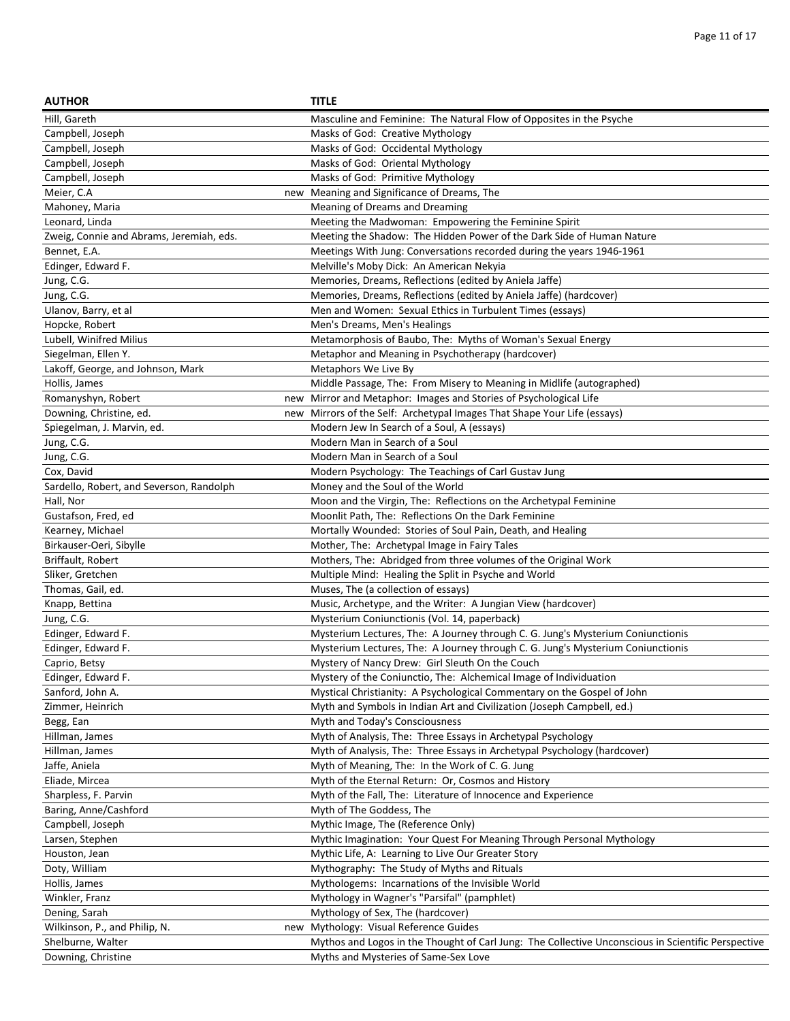| <b>AUTHOR</b>                            | <b>TITLE</b>                                                                                       |
|------------------------------------------|----------------------------------------------------------------------------------------------------|
| Hill, Gareth                             | Masculine and Feminine: The Natural Flow of Opposites in the Psyche                                |
| Campbell, Joseph                         | Masks of God: Creative Mythology                                                                   |
| Campbell, Joseph                         | Masks of God: Occidental Mythology                                                                 |
| Campbell, Joseph                         | Masks of God: Oriental Mythology                                                                   |
| Campbell, Joseph                         | Masks of God: Primitive Mythology                                                                  |
| Meier, C.A                               | new Meaning and Significance of Dreams, The                                                        |
| Mahoney, Maria                           | Meaning of Dreams and Dreaming                                                                     |
| Leonard, Linda                           | Meeting the Madwoman: Empowering the Feminine Spirit                                               |
| Zweig, Connie and Abrams, Jeremiah, eds. | Meeting the Shadow: The Hidden Power of the Dark Side of Human Nature                              |
| Bennet, E.A.                             | Meetings With Jung: Conversations recorded during the years 1946-1961                              |
|                                          | Melville's Moby Dick: An American Nekyia                                                           |
| Edinger, Edward F.                       |                                                                                                    |
| Jung, C.G.                               | Memories, Dreams, Reflections (edited by Aniela Jaffe)                                             |
| Jung, C.G.                               | Memories, Dreams, Reflections (edited by Aniela Jaffe) (hardcover)                                 |
| Ulanov, Barry, et al                     | Men and Women: Sexual Ethics in Turbulent Times (essays)                                           |
| Hopcke, Robert                           | Men's Dreams, Men's Healings                                                                       |
| Lubell, Winifred Milius                  | Metamorphosis of Baubo, The: Myths of Woman's Sexual Energy                                        |
| Siegelman, Ellen Y.                      | Metaphor and Meaning in Psychotherapy (hardcover)                                                  |
| Lakoff, George, and Johnson, Mark        | Metaphors We Live By                                                                               |
| Hollis, James                            | Middle Passage, The: From Misery to Meaning in Midlife (autographed)                               |
| Romanyshyn, Robert                       | new Mirror and Metaphor: Images and Stories of Psychological Life                                  |
| Downing, Christine, ed.                  | new Mirrors of the Self: Archetypal Images That Shape Your Life (essays)                           |
| Spiegelman, J. Marvin, ed.               | Modern Jew In Search of a Soul, A (essays)                                                         |
| Jung, C.G.                               | Modern Man in Search of a Soul                                                                     |
| Jung, C.G.                               | Modern Man in Search of a Soul                                                                     |
| Cox, David                               | Modern Psychology: The Teachings of Carl Gustav Jung                                               |
| Sardello, Robert, and Severson, Randolph | Money and the Soul of the World                                                                    |
| Hall, Nor                                | Moon and the Virgin, The: Reflections on the Archetypal Feminine                                   |
| Gustafson, Fred, ed                      | Moonlit Path, The: Reflections On the Dark Feminine                                                |
| Kearney, Michael                         | Mortally Wounded: Stories of Soul Pain, Death, and Healing                                         |
| Birkauser-Oeri, Sibylle                  | Mother, The: Archetypal Image in Fairy Tales                                                       |
| Briffault, Robert                        | Mothers, The: Abridged from three volumes of the Original Work                                     |
| Sliker, Gretchen                         | Multiple Mind: Healing the Split in Psyche and World                                               |
| Thomas, Gail, ed.                        | Muses, The (a collection of essays)                                                                |
| Knapp, Bettina                           | Music, Archetype, and the Writer: A Jungian View (hardcover)                                       |
| Jung, C.G.                               | Mysterium Coniunctionis (Vol. 14, paperback)                                                       |
| Edinger, Edward F.                       | Mysterium Lectures, The: A Journey through C. G. Jung's Mysterium Coniunctionis                    |
| Edinger, Edward F.                       | Mysterium Lectures, The: A Journey through C. G. Jung's Mysterium Coniunctionis                    |
| Caprio, Betsy                            | Mystery of Nancy Drew: Girl Sleuth On the Couch                                                    |
| Edinger, Edward F.                       | Mystery of the Coniunctio, The: Alchemical Image of Individuation                                  |
| Sanford, John A.                         | Mystical Christianity: A Psychological Commentary on the Gospel of John                            |
| Zimmer, Heinrich                         | Myth and Symbols in Indian Art and Civilization (Joseph Campbell, ed.)                             |
| Begg, Ean                                | Myth and Today's Consciousness                                                                     |
| Hillman, James                           | Myth of Analysis, The: Three Essays in Archetypal Psychology                                       |
| Hillman, James                           | Myth of Analysis, The: Three Essays in Archetypal Psychology (hardcover)                           |
| Jaffe, Aniela                            | Myth of Meaning, The: In the Work of C. G. Jung                                                    |
| Eliade, Mircea                           | Myth of the Eternal Return: Or, Cosmos and History                                                 |
| Sharpless, F. Parvin                     | Myth of the Fall, The: Literature of Innocence and Experience                                      |
| Baring, Anne/Cashford                    | Myth of The Goddess, The                                                                           |
| Campbell, Joseph                         | Mythic Image, The (Reference Only)                                                                 |
| Larsen, Stephen                          | Mythic Imagination: Your Quest For Meaning Through Personal Mythology                              |
| Houston, Jean                            | Mythic Life, A: Learning to Live Our Greater Story                                                 |
| Doty, William                            | Mythography: The Study of Myths and Rituals                                                        |
| Hollis, James                            | Mythologems: Incarnations of the Invisible World                                                   |
| Winkler, Franz                           | Mythology in Wagner's "Parsifal" (pamphlet)                                                        |
| Dening, Sarah                            | Mythology of Sex, The (hardcover)                                                                  |
|                                          | new Mythology: Visual Reference Guides                                                             |
| Wilkinson, P., and Philip, N.            |                                                                                                    |
| Shelburne, Walter                        | Mythos and Logos in the Thought of Carl Jung: The Collective Unconscious in Scientific Perspective |
| Downing, Christine                       | Myths and Mysteries of Same-Sex Love                                                               |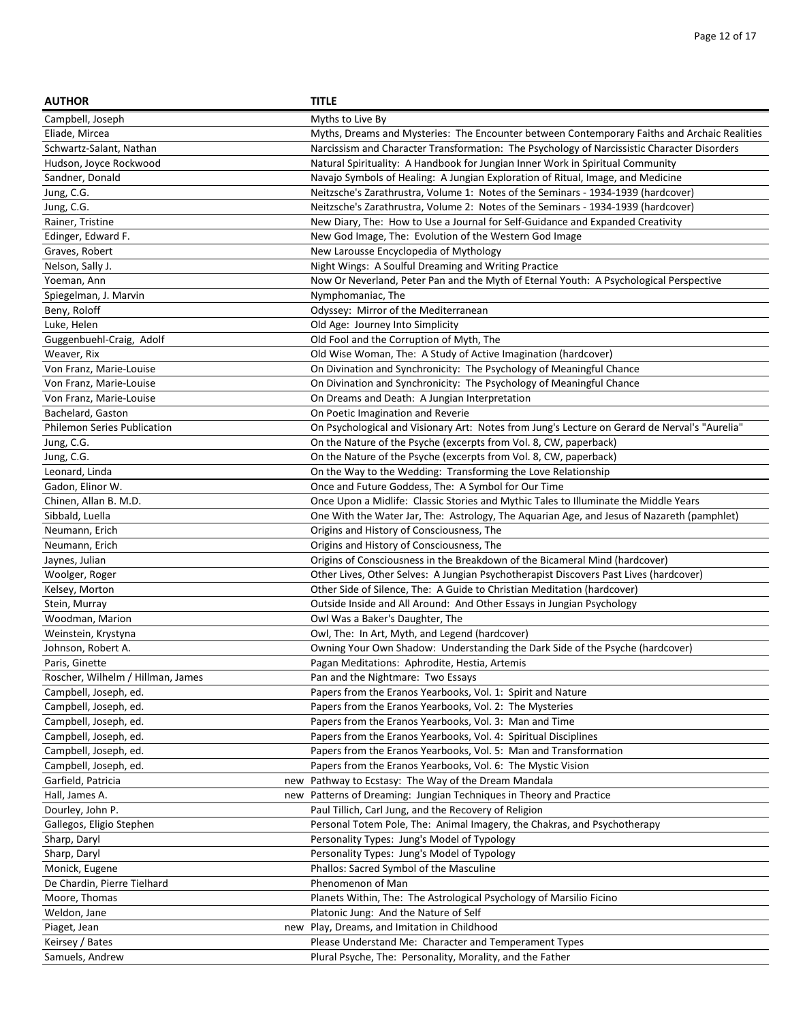| <b>AUTHOR</b>                                  | <b>TITLE</b>                                                                                                        |
|------------------------------------------------|---------------------------------------------------------------------------------------------------------------------|
| Campbell, Joseph                               | Myths to Live By                                                                                                    |
| Eliade, Mircea                                 | Myths, Dreams and Mysteries: The Encounter between Contemporary Faiths and Archaic Realities                        |
| Schwartz-Salant, Nathan                        | Narcissism and Character Transformation: The Psychology of Narcissistic Character Disorders                         |
| Hudson, Joyce Rockwood                         | Natural Spirituality: A Handbook for Jungian Inner Work in Spiritual Community                                      |
| Sandner, Donald                                | Navajo Symbols of Healing: A Jungian Exploration of Ritual, Image, and Medicine                                     |
| Jung, C.G.                                     | Neitzsche's Zarathrustra, Volume 1: Notes of the Seminars - 1934-1939 (hardcover)                                   |
| Jung, C.G.                                     | Neitzsche's Zarathrustra, Volume 2: Notes of the Seminars - 1934-1939 (hardcover)                                   |
| Rainer, Tristine                               | New Diary, The: How to Use a Journal for Self-Guidance and Expanded Creativity                                      |
| Edinger, Edward F.                             | New God Image, The: Evolution of the Western God Image                                                              |
| Graves, Robert                                 | New Larousse Encyclopedia of Mythology                                                                              |
| Nelson, Sally J.                               | Night Wings: A Soulful Dreaming and Writing Practice                                                                |
| Yoeman, Ann                                    | Now Or Neverland, Peter Pan and the Myth of Eternal Youth: A Psychological Perspective                              |
| Spiegelman, J. Marvin                          | Nymphomaniac, The                                                                                                   |
| Beny, Roloff                                   | Odyssey: Mirror of the Mediterranean                                                                                |
| Luke, Helen                                    | Old Age: Journey Into Simplicity                                                                                    |
| Guggenbuehl-Craig, Adolf                       | Old Fool and the Corruption of Myth, The                                                                            |
| Weaver, Rix                                    | Old Wise Woman, The: A Study of Active Imagination (hardcover)                                                      |
| Von Franz, Marie-Louise                        | On Divination and Synchronicity: The Psychology of Meaningful Chance                                                |
| Von Franz, Marie-Louise                        | On Divination and Synchronicity: The Psychology of Meaningful Chance                                                |
| Von Franz, Marie-Louise                        | On Dreams and Death: A Jungian Interpretation                                                                       |
| Bachelard, Gaston                              | On Poetic Imagination and Reverie                                                                                   |
| <b>Philemon Series Publication</b>             | On Psychological and Visionary Art: Notes from Jung's Lecture on Gerard de Nerval's "Aurelia"                       |
| Jung, C.G.                                     | On the Nature of the Psyche (excerpts from Vol. 8, CW, paperback)                                                   |
| Jung, C.G.                                     | On the Nature of the Psyche (excerpts from Vol. 8, CW, paperback)                                                   |
| Leonard, Linda                                 | On the Way to the Wedding: Transforming the Love Relationship                                                       |
| Gadon, Elinor W.                               | Once and Future Goddess, The: A Symbol for Our Time                                                                 |
| Chinen, Allan B. M.D.                          | Once Upon a Midlife: Classic Stories and Mythic Tales to Illuminate the Middle Years                                |
| Sibbald, Luella                                | One With the Water Jar, The: Astrology, The Aquarian Age, and Jesus of Nazareth (pamphlet)                          |
| Neumann, Erich                                 | Origins and History of Consciousness, The                                                                           |
| Neumann, Erich                                 | Origins and History of Consciousness, The                                                                           |
| Jaynes, Julian                                 | Origins of Consciousness in the Breakdown of the Bicameral Mind (hardcover)                                         |
| Woolger, Roger                                 | Other Lives, Other Selves: A Jungian Psychotherapist Discovers Past Lives (hardcover)                               |
| Kelsey, Morton                                 | Other Side of Silence, The: A Guide to Christian Meditation (hardcover)                                             |
| Stein, Murray                                  | Outside Inside and All Around: And Other Essays in Jungian Psychology                                               |
| Woodman, Marion                                | Owl Was a Baker's Daughter, The                                                                                     |
| Weinstein, Krystyna                            | Owl, The: In Art, Myth, and Legend (hardcover)                                                                      |
| Johnson, Robert A.                             | Owning Your Own Shadow: Understanding the Dark Side of the Psyche (hardcover)                                       |
| Paris, Ginette                                 | Pagan Meditations: Aphrodite, Hestia, Artemis                                                                       |
| Roscher, Wilhelm / Hillman, James              | Pan and the Nightmare: Two Essays                                                                                   |
| Campbell, Joseph, ed.                          | Papers from the Eranos Yearbooks, Vol. 1: Spirit and Nature                                                         |
| Campbell, Joseph, ed.                          | Papers from the Eranos Yearbooks, Vol. 2: The Mysteries                                                             |
| Campbell, Joseph, ed.                          | Papers from the Eranos Yearbooks, Vol. 3: Man and Time                                                              |
| Campbell, Joseph, ed.<br>Campbell, Joseph, ed. | Papers from the Eranos Yearbooks, Vol. 4: Spiritual Disciplines                                                     |
| Campbell, Joseph, ed.                          | Papers from the Eranos Yearbooks, Vol. 5: Man and Transformation                                                    |
| Garfield, Patricia                             | Papers from the Eranos Yearbooks, Vol. 6: The Mystic Vision<br>new Pathway to Ecstasy: The Way of the Dream Mandala |
| Hall, James A.<br>new                          | Patterns of Dreaming: Jungian Techniques in Theory and Practice                                                     |
| Dourley, John P.                               | Paul Tillich, Carl Jung, and the Recovery of Religion                                                               |
| Gallegos, Eligio Stephen                       | Personal Totem Pole, The: Animal Imagery, the Chakras, and Psychotherapy                                            |
| Sharp, Daryl                                   | Personality Types: Jung's Model of Typology                                                                         |
| Sharp, Daryl                                   | Personality Types: Jung's Model of Typology                                                                         |
| Monick, Eugene                                 | Phallos: Sacred Symbol of the Masculine                                                                             |
| De Chardin, Pierre Tielhard                    | Phenomenon of Man                                                                                                   |
| Moore, Thomas                                  | Planets Within, The: The Astrological Psychology of Marsilio Ficino                                                 |
| Weldon, Jane                                   | Platonic Jung: And the Nature of Self                                                                               |
| Piaget, Jean                                   | new Play, Dreams, and Imitation in Childhood                                                                        |
| Keirsey / Bates                                | Please Understand Me: Character and Temperament Types                                                               |
| Samuels, Andrew                                | Plural Psyche, The: Personality, Morality, and the Father                                                           |
|                                                |                                                                                                                     |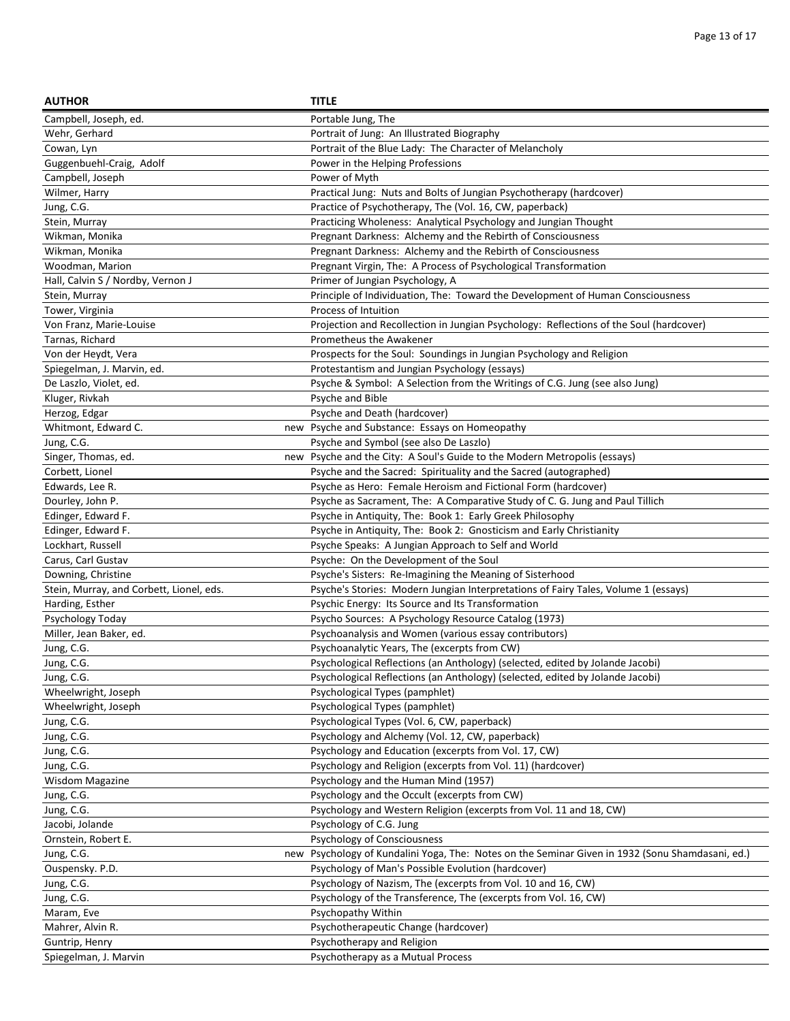| <b>AUTHOR</b>                            | <b>TITLE</b>                                                                                     |
|------------------------------------------|--------------------------------------------------------------------------------------------------|
| Campbell, Joseph, ed.                    | Portable Jung, The                                                                               |
| Wehr, Gerhard                            | Portrait of Jung: An Illustrated Biography                                                       |
| Cowan, Lyn                               | Portrait of the Blue Lady: The Character of Melancholy                                           |
| Guggenbuehl-Craig, Adolf                 | Power in the Helping Professions                                                                 |
| Campbell, Joseph                         | Power of Myth                                                                                    |
| Wilmer, Harry                            | Practical Jung: Nuts and Bolts of Jungian Psychotherapy (hardcover)                              |
| Jung, C.G.                               | Practice of Psychotherapy, The (Vol. 16, CW, paperback)                                          |
| Stein, Murray                            | Practicing Wholeness: Analytical Psychology and Jungian Thought                                  |
| Wikman, Monika                           | Pregnant Darkness: Alchemy and the Rebirth of Consciousness                                      |
| Wikman, Monika                           | Pregnant Darkness: Alchemy and the Rebirth of Consciousness                                      |
| Woodman, Marion                          | Pregnant Virgin, The: A Process of Psychological Transformation                                  |
| Hall, Calvin S / Nordby, Vernon J        | Primer of Jungian Psychology, A                                                                  |
| Stein, Murray                            | Principle of Individuation, The: Toward the Development of Human Consciousness                   |
| Tower, Virginia                          | Process of Intuition                                                                             |
| Von Franz, Marie-Louise                  | Projection and Recollection in Jungian Psychology: Reflections of the Soul (hardcover)           |
| Tarnas, Richard                          | Prometheus the Awakener                                                                          |
| Von der Heydt, Vera                      | Prospects for the Soul: Soundings in Jungian Psychology and Religion                             |
| Spiegelman, J. Marvin, ed.               | Protestantism and Jungian Psychology (essays)                                                    |
| De Laszlo, Violet, ed.                   | Psyche & Symbol: A Selection from the Writings of C.G. Jung (see also Jung)                      |
| Kluger, Rivkah                           | Psyche and Bible                                                                                 |
| Herzog, Edgar                            | Psyche and Death (hardcover)                                                                     |
| Whitmont. Edward C.                      | new Psyche and Substance: Essays on Homeopathy                                                   |
| Jung, C.G.                               | Psyche and Symbol (see also De Laszlo)                                                           |
| Singer, Thomas, ed.                      | new Psyche and the City: A Soul's Guide to the Modern Metropolis (essays)                        |
| Corbett, Lionel                          | Psyche and the Sacred: Spirituality and the Sacred (autographed)                                 |
| Edwards, Lee R.                          | Psyche as Hero: Female Heroism and Fictional Form (hardcover)                                    |
| Dourley, John P.                         | Psyche as Sacrament, The: A Comparative Study of C. G. Jung and Paul Tillich                     |
| Edinger, Edward F.                       | Psyche in Antiquity, The: Book 1: Early Greek Philosophy                                         |
| Edinger, Edward F.                       | Psyche in Antiquity, The: Book 2: Gnosticism and Early Christianity                              |
| Lockhart, Russell                        | Psyche Speaks: A Jungian Approach to Self and World                                              |
| Carus, Carl Gustav                       | Psyche: On the Development of the Soul                                                           |
| Downing, Christine                       | Psyche's Sisters: Re-Imagining the Meaning of Sisterhood                                         |
| Stein, Murray, and Corbett, Lionel, eds. | Psyche's Stories: Modern Jungian Interpretations of Fairy Tales, Volume 1 (essays)               |
| Harding, Esther                          | Psychic Energy: Its Source and Its Transformation                                                |
| Psychology Today                         | Psycho Sources: A Psychology Resource Catalog (1973)                                             |
| Miller, Jean Baker, ed.                  | Psychoanalysis and Women (various essay contributors)                                            |
| Jung, C.G.                               | Psychoanalytic Years, The (excerpts from CW)                                                     |
| Jung, C.G.                               | Psychological Reflections (an Anthology) (selected, edited by Jolande Jacobi)                    |
| Jung, C.G.                               | Psychological Reflections (an Anthology) (selected, edited by Jolande Jacobi)                    |
| Wheelwright, Joseph                      | Psychological Types (pamphlet)                                                                   |
| Wheelwright, Joseph                      | Psychological Types (pamphlet)                                                                   |
| Jung, C.G.                               | Psychological Types (Vol. 6, CW, paperback)                                                      |
| Jung, C.G.                               | Psychology and Alchemy (Vol. 12, CW, paperback)                                                  |
| Jung, C.G.                               | Psychology and Education (excerpts from Vol. 17, CW)                                             |
| Jung, C.G.                               | Psychology and Religion (excerpts from Vol. 11) (hardcover)                                      |
| <b>Wisdom Magazine</b>                   | Psychology and the Human Mind (1957)                                                             |
| Jung, C.G.                               | Psychology and the Occult (excerpts from CW)                                                     |
| Jung, C.G.                               | Psychology and Western Religion (excerpts from Vol. 11 and 18, CW)                               |
| Jacobi, Jolande                          | Psychology of C.G. Jung                                                                          |
| Ornstein, Robert E.                      | Psychology of Consciousness                                                                      |
| Jung, C.G.                               | new Psychology of Kundalini Yoga, The: Notes on the Seminar Given in 1932 (Sonu Shamdasani, ed.) |
| Ouspensky. P.D.                          | Psychology of Man's Possible Evolution (hardcover)                                               |
| Jung, C.G.                               | Psychology of Nazism, The (excerpts from Vol. 10 and 16, CW)                                     |
| Jung, C.G.                               | Psychology of the Transference, The (excerpts from Vol. 16, CW)                                  |
| Maram, Eve                               | Psychopathy Within                                                                               |
| Mahrer, Alvin R.                         | Psychotherapeutic Change (hardcover)                                                             |
| Guntrip, Henry                           | Psychotherapy and Religion                                                                       |
| Spiegelman, J. Marvin                    | Psychotherapy as a Mutual Process                                                                |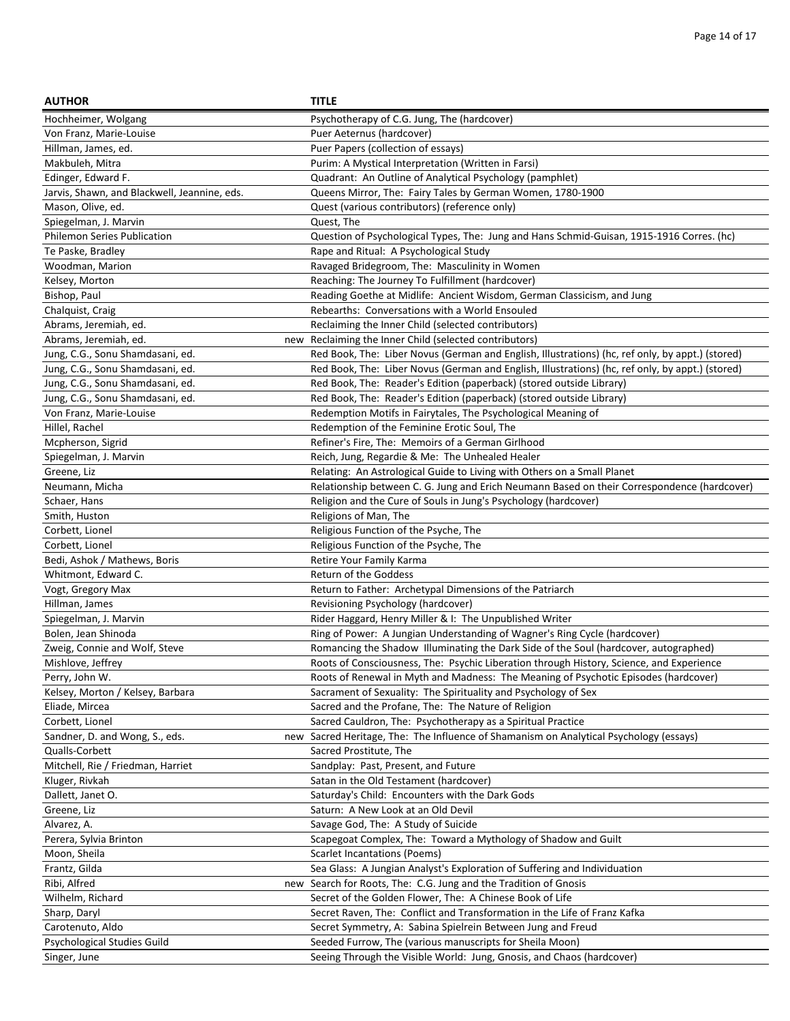| <b>AUTHOR</b>                                | <b>TITLE</b>                                                                                                                 |
|----------------------------------------------|------------------------------------------------------------------------------------------------------------------------------|
| Hochheimer, Wolgang                          | Psychotherapy of C.G. Jung, The (hardcover)                                                                                  |
| Von Franz, Marie-Louise                      | Puer Aeternus (hardcover)                                                                                                    |
| Hillman, James, ed.                          | Puer Papers (collection of essays)                                                                                           |
| Makbuleh, Mitra                              | Purim: A Mystical Interpretation (Written in Farsi)                                                                          |
| Edinger, Edward F.                           | Quadrant: An Outline of Analytical Psychology (pamphlet)                                                                     |
| Jarvis, Shawn, and Blackwell, Jeannine, eds. | Queens Mirror, The: Fairy Tales by German Women, 1780-1900                                                                   |
| Mason, Olive, ed.                            | Quest (various contributors) (reference only)                                                                                |
| Spiegelman, J. Marvin                        | Quest, The                                                                                                                   |
| <b>Philemon Series Publication</b>           | Question of Psychological Types, The: Jung and Hans Schmid-Guisan, 1915-1916 Corres. (hc)                                    |
| Te Paske, Bradley                            | Rape and Ritual: A Psychological Study                                                                                       |
| Woodman, Marion                              | Ravaged Bridegroom, The: Masculinity in Women                                                                                |
| Kelsey, Morton                               | Reaching: The Journey To Fulfillment (hardcover)                                                                             |
| Bishop, Paul                                 | Reading Goethe at Midlife: Ancient Wisdom, German Classicism, and Jung                                                       |
| Chalquist, Craig                             | Rebearths: Conversations with a World Ensouled                                                                               |
| Abrams, Jeremiah, ed.                        | Reclaiming the Inner Child (selected contributors)                                                                           |
| Abrams, Jeremiah, ed.                        | new Reclaiming the Inner Child (selected contributors)                                                                       |
| Jung, C.G., Sonu Shamdasani, ed.             | Red Book, The: Liber Novus (German and English, Illustrations) (hc, ref only, by appt.) (stored)                             |
| Jung, C.G., Sonu Shamdasani, ed.             | Red Book, The: Liber Novus (German and English, Illustrations) (hc, ref only, by appt.) (stored)                             |
| Jung, C.G., Sonu Shamdasani, ed.             | Red Book, The: Reader's Edition (paperback) (stored outside Library)                                                         |
| Jung, C.G., Sonu Shamdasani, ed.             | Red Book, The: Reader's Edition (paperback) (stored outside Library)                                                         |
| Von Franz, Marie-Louise                      | Redemption Motifs in Fairytales, The Psychological Meaning of                                                                |
| Hillel, Rachel                               | Redemption of the Feminine Erotic Soul, The                                                                                  |
| Mcpherson, Sigrid                            | Refiner's Fire, The: Memoirs of a German Girlhood                                                                            |
| Spiegelman, J. Marvin                        | Reich, Jung, Regardie & Me: The Unhealed Healer                                                                              |
| Greene, Liz                                  | Relating: An Astrological Guide to Living with Others on a Small Planet                                                      |
| Neumann, Micha                               | Relationship between C. G. Jung and Erich Neumann Based on their Correspondence (hardcover)                                  |
| Schaer, Hans                                 | Religion and the Cure of Souls in Jung's Psychology (hardcover)                                                              |
| Smith, Huston                                | Religions of Man, The                                                                                                        |
| Corbett, Lionel                              | Religious Function of the Psyche, The                                                                                        |
| Corbett, Lionel                              | Religious Function of the Psyche, The                                                                                        |
| Bedi, Ashok / Mathews, Boris                 | Retire Your Family Karma                                                                                                     |
| Whitmont, Edward C.                          | Return of the Goddess                                                                                                        |
| Vogt, Gregory Max                            | Return to Father: Archetypal Dimensions of the Patriarch                                                                     |
| Hillman, James                               | Revisioning Psychology (hardcover)                                                                                           |
| Spiegelman, J. Marvin                        | Rider Haggard, Henry Miller & I: The Unpublished Writer                                                                      |
| Bolen, Jean Shinoda                          | Ring of Power: A Jungian Understanding of Wagner's Ring Cycle (hardcover)                                                    |
| Zweig, Connie and Wolf, Steve                | Romancing the Shadow Illuminating the Dark Side of the Soul (hardcover, autographed)                                         |
| Mishlove, Jeffrey                            | Roots of Consciousness, The: Psychic Liberation through History, Science, and Experience                                     |
| Perry, John W.                               | Roots of Renewal in Myth and Madness: The Meaning of Psychotic Episodes (hardcover)                                          |
| Kelsey, Morton / Kelsey, Barbara             | Sacrament of Sexuality: The Spirituality and Psychology of Sex                                                               |
| Eliade, Mircea                               | Sacred and the Profane, The: The Nature of Religion                                                                          |
| Corbett, Lionel                              | Sacred Cauldron, The: Psychotherapy as a Spiritual Practice                                                                  |
| Sandner, D. and Wong, S., eds.               | new Sacred Heritage, The: The Influence of Shamanism on Analytical Psychology (essays)                                       |
| Qualls-Corbett                               | Sacred Prostitute, The                                                                                                       |
| Mitchell, Rie / Friedman, Harriet            | Sandplay: Past, Present, and Future                                                                                          |
| Kluger, Rivkah                               | Satan in the Old Testament (hardcover)                                                                                       |
| Dallett, Janet O.                            | Saturday's Child: Encounters with the Dark Gods<br>Saturn: A New Look at an Old Devil                                        |
| Greene, Liz                                  |                                                                                                                              |
| Alvarez, A.                                  | Savage God, The: A Study of Suicide                                                                                          |
| Perera, Sylvia Brinton                       | Scapegoat Complex, The: Toward a Mythology of Shadow and Guilt<br><b>Scarlet Incantations (Poems)</b>                        |
| Moon, Sheila<br>Frantz, Gilda                | Sea Glass: A Jungian Analyst's Exploration of Suffering and Individuation                                                    |
|                                              |                                                                                                                              |
| Ribi, Alfred<br>Wilhelm, Richard             | new Search for Roots, The: C.G. Jung and the Tradition of Gnosis<br>Secret of the Golden Flower, The: A Chinese Book of Life |
| Sharp, Daryl                                 | Secret Raven, The: Conflict and Transformation in the Life of Franz Kafka                                                    |
| Carotenuto, Aldo                             | Secret Symmetry, A: Sabina Spielrein Between Jung and Freud                                                                  |
| Psychological Studies Guild                  | Seeded Furrow, The (various manuscripts for Sheila Moon)                                                                     |
| Singer, June                                 | Seeing Through the Visible World: Jung, Gnosis, and Chaos (hardcover)                                                        |
|                                              |                                                                                                                              |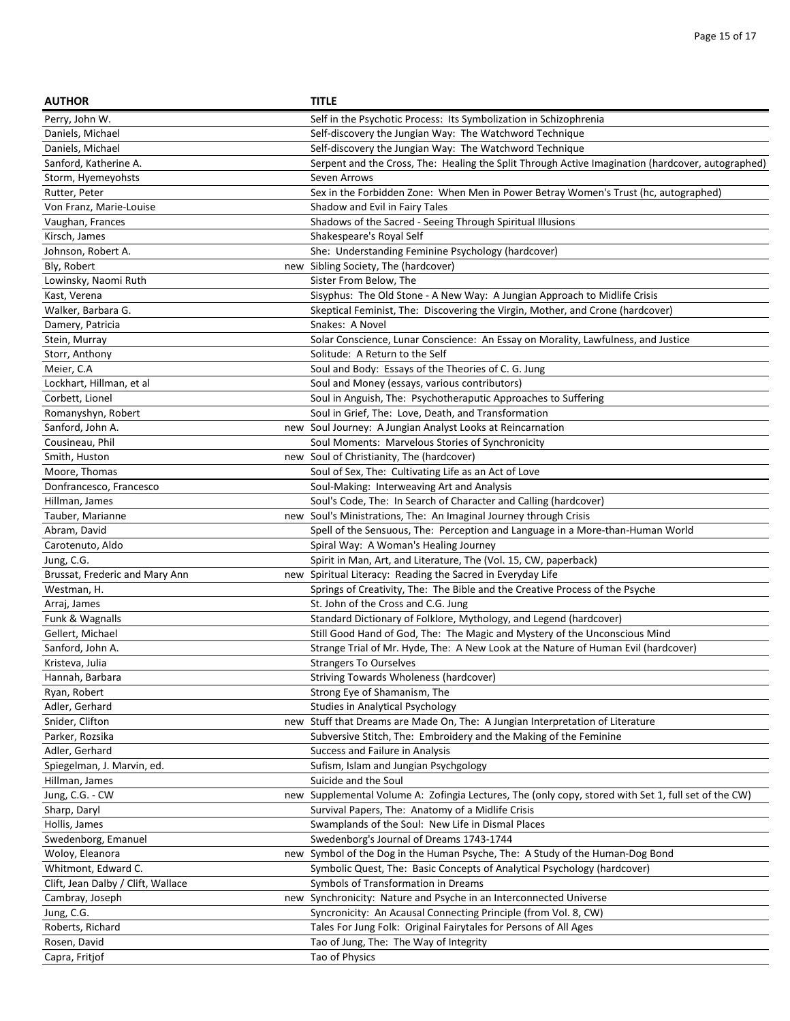| <b>AUTHOR</b>                      | <b>TITLE</b>                                                                                      |
|------------------------------------|---------------------------------------------------------------------------------------------------|
| Perry, John W.                     | Self in the Psychotic Process: Its Symbolization in Schizophrenia                                 |
| Daniels, Michael                   | Self-discovery the Jungian Way: The Watchword Technique                                           |
| Daniels, Michael                   | Self-discovery the Jungian Way: The Watchword Technique                                           |
| Sanford, Katherine A.              | Serpent and the Cross, The: Healing the Split Through Active Imagination (hardcover, autographed) |
| Storm, Hyemeyohsts                 | Seven Arrows                                                                                      |
| Rutter, Peter                      | Sex in the Forbidden Zone: When Men in Power Betray Women's Trust (hc, autographed)               |
| Von Franz, Marie-Louise            | Shadow and Evil in Fairy Tales                                                                    |
| Vaughan, Frances                   | Shadows of the Sacred - Seeing Through Spiritual Illusions                                        |
| Kirsch, James                      | Shakespeare's Royal Self                                                                          |
| Johnson, Robert A.                 | She: Understanding Feminine Psychology (hardcover)                                                |
| Bly, Robert                        | new Sibling Society, The (hardcover)                                                              |
| Lowinsky, Naomi Ruth               | Sister From Below, The                                                                            |
| Kast, Verena                       | Sisyphus: The Old Stone - A New Way: A Jungian Approach to Midlife Crisis                         |
| Walker, Barbara G.                 | Skeptical Feminist, The: Discovering the Virgin, Mother, and Crone (hardcover)                    |
| Damery, Patricia                   | Snakes: A Novel                                                                                   |
| Stein, Murray                      | Solar Conscience, Lunar Conscience: An Essay on Morality, Lawfulness, and Justice                 |
| Storr, Anthony                     | Solitude: A Return to the Self                                                                    |
| Meier, C.A                         | Soul and Body: Essays of the Theories of C. G. Jung                                               |
| Lockhart, Hillman, et al           | Soul and Money (essays, various contributors)                                                     |
| Corbett, Lionel                    | Soul in Anguish, The: Psychotheraputic Approaches to Suffering                                    |
| Romanyshyn, Robert                 | Soul in Grief, The: Love, Death, and Transformation                                               |
| Sanford, John A.                   | new Soul Journey: A Jungian Analyst Looks at Reincarnation                                        |
| Cousineau, Phil                    | Soul Moments: Marvelous Stories of Synchronicity                                                  |
| Smith, Huston                      | new Soul of Christianity, The (hardcover)                                                         |
| Moore, Thomas                      | Soul of Sex, The: Cultivating Life as an Act of Love                                              |
| Donfrancesco, Francesco            | Soul-Making: Interweaving Art and Analysis                                                        |
| Hillman, James                     | Soul's Code, The: In Search of Character and Calling (hardcover)                                  |
| Tauber, Marianne                   | new Soul's Ministrations, The: An Imaginal Journey through Crisis                                 |
| Abram, David                       | Spell of the Sensuous, The: Perception and Language in a More-than-Human World                    |
| Carotenuto, Aldo                   | Spiral Way: A Woman's Healing Journey                                                             |
| Jung, C.G.                         | Spirit in Man, Art, and Literature, The (Vol. 15, CW, paperback)                                  |
| Brussat, Frederic and Mary Ann     | new Spiritual Literacy: Reading the Sacred in Everyday Life                                       |
| Westman, H.                        | Springs of Creativity, The: The Bible and the Creative Process of the Psyche                      |
| Arraj, James                       | St. John of the Cross and C.G. Jung                                                               |
| Funk & Wagnalls                    | Standard Dictionary of Folklore, Mythology, and Legend (hardcover)                                |
| Gellert, Michael                   | Still Good Hand of God, The: The Magic and Mystery of the Unconscious Mind                        |
| Sanford, John A.                   | Strange Trial of Mr. Hyde, The: A New Look at the Nature of Human Evil (hardcover)                |
| Kristeva, Julia                    | <b>Strangers To Ourselves</b>                                                                     |
| Hannah, Barbara                    | Striving Towards Wholeness (hardcover)                                                            |
| Ryan, Robert                       | Strong Eye of Shamanism, The                                                                      |
| Adler, Gerhard                     | Studies in Analytical Psychology                                                                  |
| Snider, Clifton<br>new             | Stuff that Dreams are Made On, The: A Jungian Interpretation of Literature                        |
| Parker, Rozsika                    | Subversive Stitch, The: Embroidery and the Making of the Feminine                                 |
| Adler, Gerhard                     | Success and Failure in Analysis                                                                   |
| Spiegelman, J. Marvin, ed.         | Sufism, Islam and Jungian Psychgology                                                             |
| Hillman, James                     | Suicide and the Soul                                                                              |
| Jung, C.G. - CW<br>new             | Supplemental Volume A: Zofingia Lectures, The (only copy, stored with Set 1, full set of the CW)  |
| Sharp, Daryl                       | Survival Papers, The: Anatomy of a Midlife Crisis                                                 |
| Hollis, James                      | Swamplands of the Soul: New Life in Dismal Places                                                 |
| Swedenborg, Emanuel                | Swedenborg's Journal of Dreams 1743-1744                                                          |
| Woloy, Eleanora                    | new Symbol of the Dog in the Human Psyche, The: A Study of the Human-Dog Bond                     |
| Whitmont, Edward C.                | Symbolic Quest, The: Basic Concepts of Analytical Psychology (hardcover)                          |
| Clift, Jean Dalby / Clift, Wallace | Symbols of Transformation in Dreams                                                               |
| Cambray, Joseph                    | new Synchronicity: Nature and Psyche in an Interconnected Universe                                |
| Jung, C.G.                         | Syncronicity: An Acausal Connecting Principle (from Vol. 8, CW)                                   |
| Roberts, Richard                   | Tales For Jung Folk: Original Fairytales for Persons of All Ages                                  |
| Rosen, David                       | Tao of Jung, The: The Way of Integrity                                                            |
| Capra, Fritjof                     | Tao of Physics                                                                                    |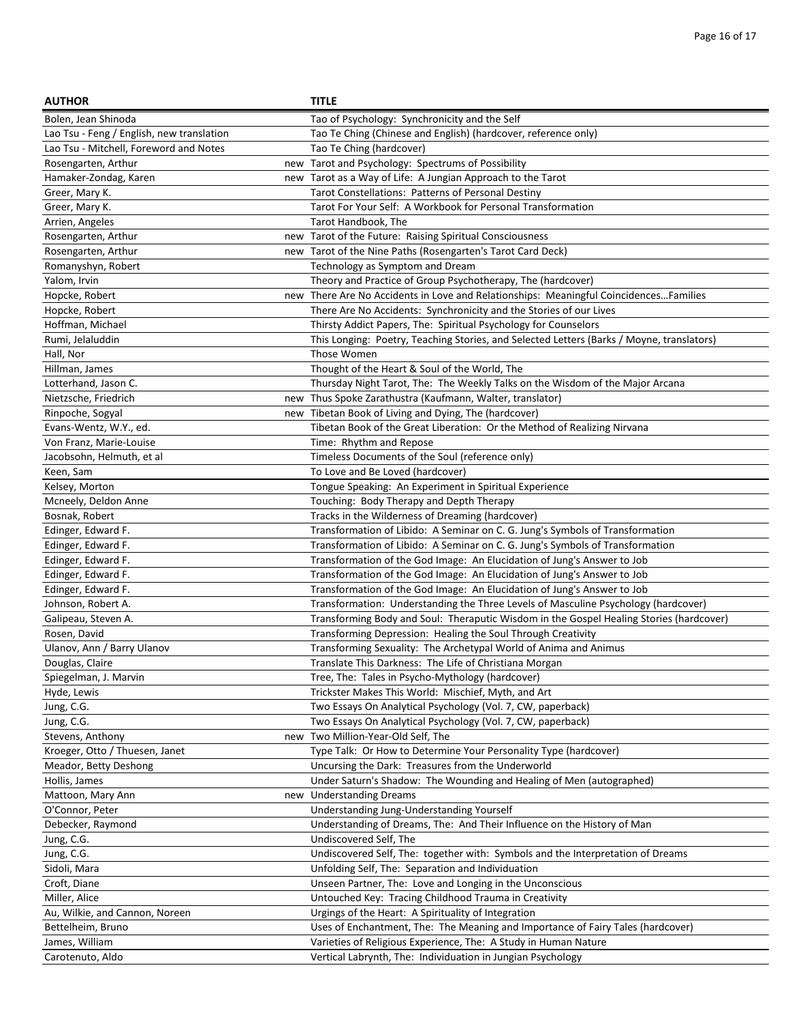| <b>AUTHOR</b>                             | <b>TITLE</b>                                                                              |
|-------------------------------------------|-------------------------------------------------------------------------------------------|
| Bolen, Jean Shinoda                       | Tao of Psychology: Synchronicity and the Self                                             |
| Lao Tsu - Feng / English, new translation | Tao Te Ching (Chinese and English) (hardcover, reference only)                            |
| Lao Tsu - Mitchell, Foreword and Notes    | Tao Te Ching (hardcover)                                                                  |
| Rosengarten, Arthur                       | new Tarot and Psychology: Spectrums of Possibility                                        |
| Hamaker-Zondag, Karen                     | new Tarot as a Way of Life: A Jungian Approach to the Tarot                               |
| Greer, Mary K.                            | Tarot Constellations: Patterns of Personal Destiny                                        |
| Greer, Mary K.                            | Tarot For Your Self: A Workbook for Personal Transformation                               |
| Arrien, Angeles                           | Tarot Handbook, The                                                                       |
| Rosengarten, Arthur                       | new Tarot of the Future: Raising Spiritual Consciousness                                  |
| Rosengarten, Arthur                       | new Tarot of the Nine Paths (Rosengarten's Tarot Card Deck)                               |
| Romanyshyn, Robert                        | Technology as Symptom and Dream                                                           |
| Yalom, Irvin                              | Theory and Practice of Group Psychotherapy, The (hardcover)                               |
| Hopcke, Robert                            | new There Are No Accidents in Love and Relationships: Meaningful CoincidencesFamilies     |
| Hopcke, Robert                            | There Are No Accidents: Synchronicity and the Stories of our Lives                        |
| Hoffman, Michael                          | Thirsty Addict Papers, The: Spiritual Psychology for Counselors                           |
| Rumi, Jelaluddin                          | This Longing: Poetry, Teaching Stories, and Selected Letters (Barks / Moyne, translators) |
| Hall, Nor                                 | Those Women                                                                               |
| Hillman, James                            | Thought of the Heart & Soul of the World, The                                             |
| Lotterhand, Jason C.                      | Thursday Night Tarot, The: The Weekly Talks on the Wisdom of the Major Arcana             |
| Nietzsche, Friedrich                      | new Thus Spoke Zarathustra (Kaufmann, Walter, translator)                                 |
| Rinpoche, Sogyal                          | new Tibetan Book of Living and Dying, The (hardcover)                                     |
| Evans-Wentz, W.Y., ed.                    | Tibetan Book of the Great Liberation: Or the Method of Realizing Nirvana                  |
| Von Franz, Marie-Louise                   | Time: Rhythm and Repose                                                                   |
| Jacobsohn, Helmuth, et al                 | Timeless Documents of the Soul (reference only)                                           |
| Keen, Sam                                 | To Love and Be Loved (hardcover)                                                          |
| Kelsey, Morton                            | Tongue Speaking: An Experiment in Spiritual Experience                                    |
| Mcneely, Deldon Anne                      | Touching: Body Therapy and Depth Therapy                                                  |
| Bosnak, Robert                            | Tracks in the Wilderness of Dreaming (hardcover)                                          |
| Edinger, Edward F.                        | Transformation of Libido: A Seminar on C. G. Jung's Symbols of Transformation             |
| Edinger, Edward F.                        | Transformation of Libido: A Seminar on C. G. Jung's Symbols of Transformation             |
| Edinger, Edward F.                        | Transformation of the God Image: An Elucidation of Jung's Answer to Job                   |
| Edinger, Edward F.                        | Transformation of the God Image: An Elucidation of Jung's Answer to Job                   |
| Edinger, Edward F.                        | Transformation of the God Image: An Elucidation of Jung's Answer to Job                   |
| Johnson, Robert A.                        | Transformation: Understanding the Three Levels of Masculine Psychology (hardcover)        |
| Galipeau, Steven A.                       | Transforming Body and Soul: Theraputic Wisdom in the Gospel Healing Stories (hardcover)   |
| Rosen, David                              | Transforming Depression: Healing the Soul Through Creativity                              |
| Ulanov, Ann / Barry Ulanov                | Transforming Sexuality: The Archetypal World of Anima and Animus                          |
| Douglas, Claire                           | Translate This Darkness: The Life of Christiana Morgan                                    |
| Spiegelman, J. Marvin                     | Tree, The: Tales in Psycho-Mythology (hardcover)                                          |
| Hyde, Lewis                               | Trickster Makes This World: Mischief, Myth, and Art                                       |
| Jung, C.G.                                | Two Essays On Analytical Psychology (Vol. 7, CW, paperback)                               |
| Jung, C.G.                                | Two Essays On Analytical Psychology (Vol. 7, CW, paperback)                               |
| Stevens, Anthony                          | new Two Million-Year-Old Self, The                                                        |
| Kroeger, Otto / Thuesen, Janet            | Type Talk: Or How to Determine Your Personality Type (hardcover)                          |
| Meador, Betty Deshong                     | Uncursing the Dark: Treasures from the Underworld                                         |
| Hollis, James                             | Under Saturn's Shadow: The Wounding and Healing of Men (autographed)                      |
| Mattoon, Mary Ann                         | new Understanding Dreams                                                                  |
| O'Connor, Peter                           | Understanding Jung-Understanding Yourself                                                 |
| Debecker, Raymond                         | Understanding of Dreams, The: And Their Influence on the History of Man                   |
| Jung, C.G.                                | Undiscovered Self, The                                                                    |
| Jung, C.G.                                | Undiscovered Self, The: together with: Symbols and the Interpretation of Dreams           |
| Sidoli, Mara                              | Unfolding Self, The: Separation and Individuation                                         |
| Croft, Diane                              | Unseen Partner, The: Love and Longing in the Unconscious                                  |
| Miller, Alice                             | Untouched Key: Tracing Childhood Trauma in Creativity                                     |
| Au, Wilkie, and Cannon, Noreen            | Urgings of the Heart: A Spirituality of Integration                                       |
| Bettelheim, Bruno                         | Uses of Enchantment, The: The Meaning and Importance of Fairy Tales (hardcover)           |
| James, William                            | Varieties of Religious Experience, The: A Study in Human Nature                           |
| Carotenuto, Aldo                          | Vertical Labrynth, The: Individuation in Jungian Psychology                               |
|                                           |                                                                                           |